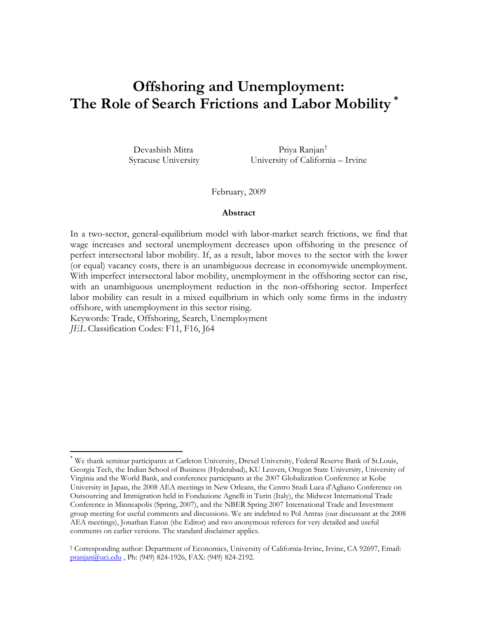# **Offshoring and Unemployment: The Role of Search Frictions and Labor Mobility [\\*](#page-0-0)**

 Devashish Mitra Priya Ranjan[†](#page-0-1) Syracuse University University of California – Irvine

February, 2009

## **Abstract**

In a two-sector, general-equilibrium model with labor-market search frictions, we find that wage increases and sectoral unemployment decreases upon offshoring in the presence of perfect intersectoral labor mobility. If, as a result, labor moves to the sector with the lower (or equal) vacancy costs, there is an unambiguous decrease in economywide unemployment. With imperfect intersectoral labor mobility, unemployment in the offshoring sector can rise, with an unambiguous unemployment reduction in the non-offshoring sector. Imperfect labor mobility can result in a mixed equilbrium in which only some firms in the industry offshore, with unemployment in this sector rising.

Keywords: Trade, Offshoring, Search, Unemployment

*JEL* Classification Codes: F11, F16, J64

 $\overline{a}$ 

<span id="page-0-0"></span><sup>\*</sup> We thank seminar participants at Carleton University, Drexel University, Federal Reserve Bank of St.Louis, Georgia Tech, the Indian School of Business (Hyderabad), KU Leuven, Oregon State University, University of Virginia and the World Bank, and conference participants at the 2007 Globalization Conference at Kobe University in Japan, the 2008 AEA meetings in New Orleans, the Centro Studi Luca d'Agliano Conference on Outsourcing and Immigration held in Fondazione Agnelli in Turin (Italy), the Midwest International Trade Conference in Minneapolis (Spring, 2007), and the NBER Spring 2007 International Trade and Investment group meeting for useful comments and discussions. We are indebted to Pol Antras (our discussant at the 2008 AEA meetings), Jonathan Eaton (the Editor) and two anonymous referees for very detailed and useful comments on earlier versions. The standard disclaimer applies.

<span id="page-0-1"></span><sup>†</sup> Corresponding author: Department of Economics, University of California-Irvine, Irvine, CA 92697, Email: [pranjan@uci.edu](mailto:pranjan@uci.edu) , Ph: (949) 824-1926, FAX: (949) 824-2192.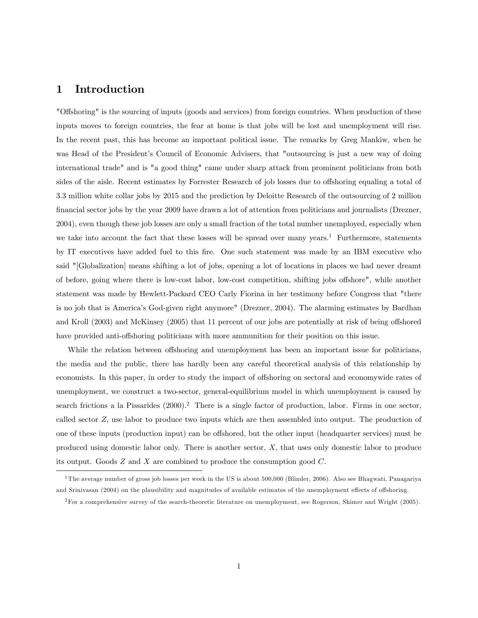# 1 Introduction

"Offshoring" is the sourcing of inputs (goods and services) from foreign countries. When production of these inputs moves to foreign countries, the fear at home is that jobs will be lost and unemployment will rise. In the recent past, this has become an important political issue. The remarks by Greg Mankiw, when he was Head of the President's Council of Economic Advisers, that "outsourcing is just a new way of doing international trade" and is "a good thing" came under sharp attack from prominent politicians from both sides of the aisle. Recent estimates by Forrester Research of job losses due to offshoring equaling a total of 3.3 million white collar jobs by 2015 and the prediction by Deloitte Research of the outsourcing of 2 million Önancial sector jobs by the year 2009 have drawn a lot of attention from politicians and journalists (Drezner, 2004), even though these job losses are only a small fraction of the total number unemployed, especially when we take into account the fact that these losses will be spread over many years.<sup>1</sup> Furthermore, statements by IT executives have added fuel to this fire. One such statement was made by an IBM executive who said "[Globalization] means shifting a lot of jobs, opening a lot of locations in places we had never dreamt of before, going where there is low-cost labor, low-cost competition, shifting jobs offshore", while another statement was made by Hewlett-Packard CEO Carly Fiorina in her testimony before Congress that "there is no job that is Americaís God-given right anymore" (Drezner, 2004). The alarming estimates by Bardhan and Kroll (2003) and McKinsey (2005) that 11 percent of our jobs are potentially at risk of being offshored have provided anti-offshoring politicians with more ammunition for their position on this issue.

While the relation between offshoring and unemployment has been an important issue for politicians, the media and the public, there has hardly been any careful theoretical analysis of this relationship by economists. In this paper, in order to study the impact of offshoring on sectoral and economywide rates of unemployment, we construct a two-sector, general-equilibrium model in which unemployment is caused by search frictions a la Pissarides  $(2000)<sup>2</sup>$ . There is a single factor of production, labor. Firms in one sector, called sector Z; use labor to produce two inputs which are then assembled into output. The production of one of these inputs (production input) can be offshored, but the other input (headquarter services) must be produced using domestic labor only. There is another sector,  $X$ , that uses only domestic labor to produce its output. Goods  $Z$  and  $X$  are combined to produce the consumption good  $C$ .

<sup>&</sup>lt;sup>1</sup>The average number of gross job losses per week in the US is about 500,000 (Blinder, 2006). Also see Bhagwati, Panagariya and Srinivasan (2004) on the plausibility and magnitudes of available estimates of the unemployment effects of offshoring.

<sup>2</sup>For a comprehensive survey of the search-theoretic literature on unemployment, see Rogerson, Shimer and Wright (2005).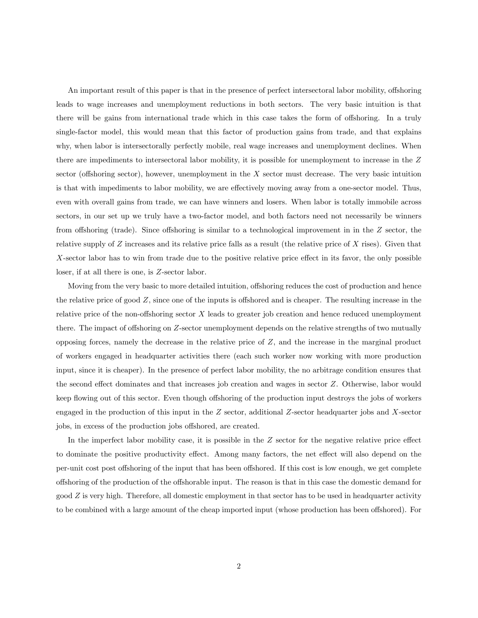An important result of this paper is that in the presence of perfect intersectoral labor mobility, offshoring leads to wage increases and unemployment reductions in both sectors. The very basic intuition is that there will be gains from international trade which in this case takes the form of offshoring. In a truly single-factor model, this would mean that this factor of production gains from trade, and that explains why, when labor is intersectorally perfectly mobile, real wage increases and unemployment declines. When there are impediments to intersectoral labor mobility, it is possible for unemployment to increase in the Z sector (offshoring sector), however, unemployment in the  $X$  sector must decrease. The very basic intuition is that with impediments to labor mobility, we are effectively moving away from a one-sector model. Thus, even with overall gains from trade, we can have winners and losers. When labor is totally immobile across sectors, in our set up we truly have a two-factor model, and both factors need not necessarily be winners from offshoring (trade). Since offshoring is similar to a technological improvement in in the  $Z$  sector, the relative supply of  $Z$  increases and its relative price falls as a result (the relative price of  $X$  rises). Given that  $X$ -sector labor has to win from trade due to the positive relative price effect in its favor, the only possible loser, if at all there is one, is Z-sector labor.

Moving from the very basic to more detailed intuition, offshoring reduces the cost of production and hence the relative price of good  $Z$ , since one of the inputs is offshored and is cheaper. The resulting increase in the relative price of the non-offshoring sector  $X$  leads to greater job creation and hence reduced unemployment there. The impact of offshoring on Z-sector unemployment depends on the relative strengths of two mutually opposing forces, namely the decrease in the relative price of  $Z$ , and the increase in the marginal product of workers engaged in headquarter activities there (each such worker now working with more production input, since it is cheaper). In the presence of perfect labor mobility, the no arbitrage condition ensures that the second effect dominates and that increases job creation and wages in sector Z. Otherwise, labor would keep flowing out of this sector. Even though offshoring of the production input destroys the jobs of workers engaged in the production of this input in the Z sector, additional Z-sector headquarter jobs and X-sector jobs, in excess of the production jobs offshored, are created.

In the imperfect labor mobility case, it is possible in the  $Z$  sector for the negative relative price effect to dominate the positive productivity effect. Among many factors, the net effect will also depend on the per-unit cost post offshoring of the input that has been offshored. If this cost is low enough, we get complete offshoring of the production of the offshorable input. The reason is that in this case the domestic demand for good Z is very high. Therefore, all domestic employment in that sector has to be used in headquarter activity to be combined with a large amount of the cheap imported input (whose production has been offshored). For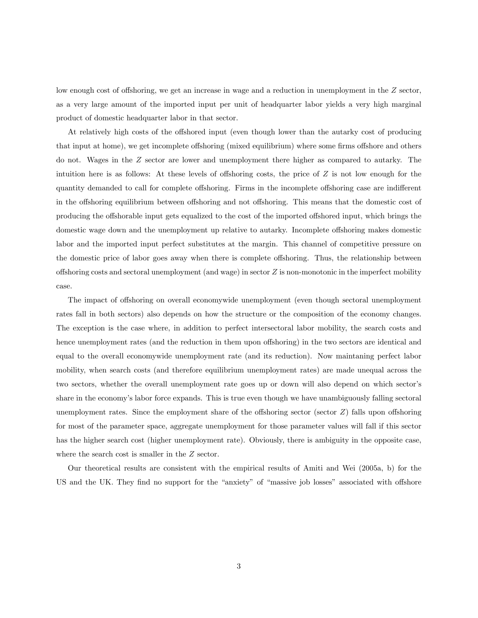low enough cost of offshoring, we get an increase in wage and a reduction in unemployment in the  $Z$  sector, as a very large amount of the imported input per unit of headquarter labor yields a very high marginal product of domestic headquarter labor in that sector.

At relatively high costs of the offshored input (even though lower than the autarky cost of producing that input at home), we get incomplete offshoring (mixed equilibrium) where some firms offshore and others do not. Wages in the Z sector are lower and unemployment there higher as compared to autarky. The intuition here is as follows: At these levels of offshoring costs, the price of  $Z$  is not low enough for the quantity demanded to call for complete offshoring. Firms in the incomplete offshoring case are indifferent in the offshoring equilibrium between offshoring and not offshoring. This means that the domestic cost of producing the offshorable input gets equalized to the cost of the imported offshored input, which brings the domestic wage down and the unemployment up relative to autarky. Incomplete offshoring makes domestic labor and the imported input perfect substitutes at the margin. This channel of competitive pressure on the domestic price of labor goes away when there is complete offshoring. Thus, the relationship between offshoring costs and sectoral unemployment (and wage) in sector  $Z$  is non-monotonic in the imperfect mobility case.

The impact of offshoring on overall economywide unemployment (even though sectoral unemployment rates fall in both sectors) also depends on how the structure or the composition of the economy changes. The exception is the case where, in addition to perfect intersectoral labor mobility, the search costs and hence unemployment rates (and the reduction in them upon offshoring) in the two sectors are identical and equal to the overall economywide unemployment rate (and its reduction). Now maintaning perfect labor mobility, when search costs (and therefore equilibrium unemployment rates) are made unequal across the two sectors, whether the overall unemployment rate goes up or down will also depend on which sector's share in the economy's labor force expands. This is true even though we have unambiguously falling sectoral unemployment rates. Since the employment share of the offshoring sector (sector  $Z$ ) falls upon offshoring for most of the parameter space, aggregate unemployment for those parameter values will fall if this sector has the higher search cost (higher unemployment rate). Obviously, there is ambiguity in the opposite case, where the search cost is smaller in the Z sector.

Our theoretical results are consistent with the empirical results of Amiti and Wei (2005a, b) for the US and the UK. They find no support for the "anxiety" of "massive job losses" associated with offshore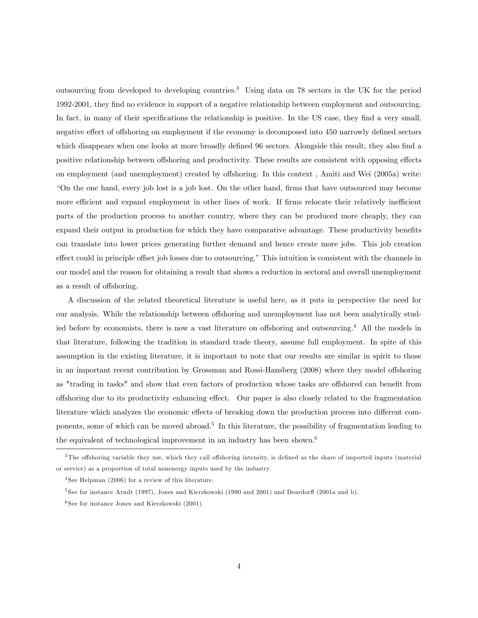outsourcing from developed to developing countries.<sup>3</sup> Using data on 78 sectors in the UK for the period 1992-2001, they find no evidence in support of a negative relationship between employment and outsourcing. In fact, in many of their specifications the relationship is positive. In the US case, they find a very small, negative effect of offshoring on employment if the economy is decomposed into 450 narrowly defined sectors which disappears when one looks at more broadly defined 96 sectors. Alongside this result, they also find a positive relationship between offshoring and productivity. These results are consistent with opposing effects on employment (and unemployment) created by offshoring. In this context, Amiti and Wei (2005a) write: ìOn the one hand, every job lost is a job lost. On the other hand, Örms that have outsourced may become more efficient and expand employment in other lines of work. If firms relocate their relatively inefficient parts of the production process to another country, where they can be produced more cheaply, they can expand their output in production for which they have comparative advantage. These productivity benefits can translate into lower prices generating further demand and hence create more jobs. This job creation effect could in principle offset job losses due to outsourcing." This intuition is consistent with the channels in our model and the reason for obtaining a result that shows a reduction in sectoral and overall unemployment as a result of offshoring.

A discussion of the related theoretical literature is useful here, as it puts in perspective the need for our analysis. While the relationship between offshoring and unemployment has not been analytically studied before by economists, there is now a vast literature on offshoring and outsourcing.<sup>4</sup> All the models in that literature, following the tradition in standard trade theory, assume full employment. In spite of this assumption in the existing literature, it is important to note that our results are similar in spirit to those in an important recent contribution by Grossman and Rossi-Hansberg (2008) where they model offshoring as "trading in tasks" and show that even factors of production whose tasks are offshored can benefit from offshoring due to its productivity enhancing effect. Our paper is also closely related to the fragmentation literature which analyzes the economic effects of breaking down the production process into different components, some of which can be moved abroad.<sup>5</sup> In this literature, the possibility of fragmentation leading to the equivalent of technological improvement in an industry has been shown.<sup>6</sup>

 $3$ The offshoring variable they use, which they call offshoring intensity, is defined as the share of imported inputs (material) or service) as a proportion of total nonenergy inputs used by the industry.

<sup>4</sup> See Helpman (2006) for a review of this literature.

 $5$ See for instance Arndt (1997), Jones and Kierzkowski (1990 and 2001) and Deardorff (2001a and b).

 $6$ See for instance Jones and Kierzkowski (2001).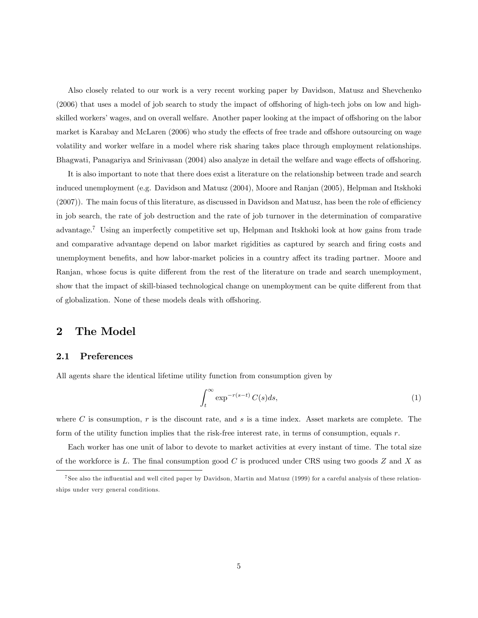Also closely related to our work is a very recent working paper by Davidson, Matusz and Shevchenko  $(2006)$  that uses a model of job search to study the impact of offshoring of high-tech jobs on low and highskilled workers' wages, and on overall welfare. Another paper looking at the impact of offshoring on the labor market is Karabay and McLaren (2006) who study the effects of free trade and offshore outsourcing on wage volatility and worker welfare in a model where risk sharing takes place through employment relationships. Bhagwati, Panagariya and Srinivasan (2004) also analyze in detail the welfare and wage effects of offshoring.

It is also important to note that there does exist a literature on the relationship between trade and search induced unemployment (e.g. Davidson and Matusz (2004), Moore and Ranjan (2005), Helpman and Itskhoki  $(2007)$ . The main focus of this literature, as discussed in Davidson and Matusz, has been the role of efficiency in job search, the rate of job destruction and the rate of job turnover in the determination of comparative advantage.<sup>7</sup> Using an imperfectly competitive set up, Helpman and Itskhoki look at how gains from trade and comparative advantage depend on labor market rigidities as captured by search and firing costs and unemployment benefits, and how labor-market policies in a country affect its trading partner. Moore and Ranjan, whose focus is quite different from the rest of the literature on trade and search unemployment, show that the impact of skill-biased technological change on unemployment can be quite different from that of globalization. None of these models deals with offshoring.

# 2 The Model

## 2.1 Preferences

All agents share the identical lifetime utility function from consumption given by

$$
\int_{t}^{\infty} \exp^{-r(s-t)} C(s) ds,
$$
\n(1)

where C is consumption,  $r$  is the discount rate, and  $s$  is a time index. Asset markets are complete. The form of the utility function implies that the risk-free interest rate, in terms of consumption, equals  $r$ .

Each worker has one unit of labor to devote to market activities at every instant of time. The total size of the workforce is L. The final consumption good C is produced under CRS using two goods Z and X as

<sup>&</sup>lt;sup>7</sup> See also the influential and well cited paper by Davidson, Martin and Matusz (1999) for a careful analysis of these relationships under very general conditions.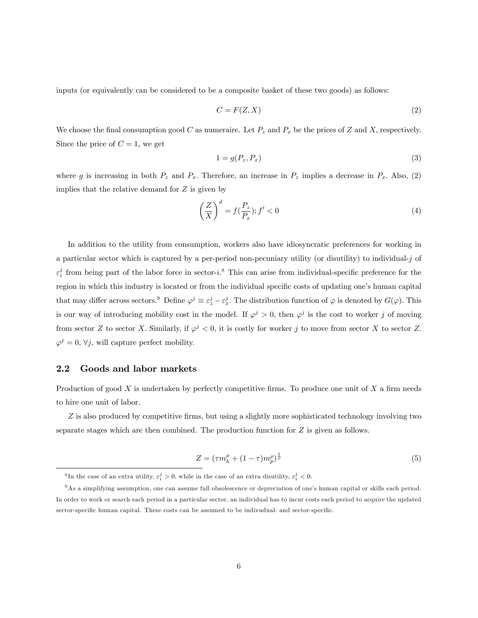inputs (or equivalently can be considered to be a composite basket of these two goods) as follows:

$$
C = F(Z, X) \tag{2}
$$

We choose the final consumption good C as numeraire. Let  $P_z$  and  $P_x$  be the prices of Z and X, respectively. Since the price of  $C = 1$ , we get

$$
1 = g(P_z, P_x) \tag{3}
$$

where g is increasing in both  $P_z$  and  $P_x$ . Therefore, an increase in  $P_z$  implies a decrease in  $P_x$ . Also, (2) implies that the relative demand for  $Z$  is given by

$$
\left(\frac{Z}{X}\right)^d = f(\frac{P_z}{P_x}); f' < 0\tag{4}
$$

In addition to the utility from consumption, workers also have idiosyncratic preferences for working in a particular sector which is captured by a per-period non-pecuniary utility (or disutility) to individual-j of  $\varepsilon_i^j$  from being part of the labor force in sector-i.<sup>8</sup> This can arise from individual-specific preference for the region in which this industry is located or from the individual specific costs of updating one's human capital that may differ across sectors.<sup>9</sup> Define  $\varphi^j \equiv \varepsilon^j_z - \varepsilon^j_x$ . The distribution function of  $\varphi$  is denoted by  $G(\varphi)$ . This is our way of introducing mobility cost in the model. If  $\varphi^j > 0$ , then  $\varphi^j$  is the cost to worker j of moving from sector Z to sector X. Similarly, if  $\varphi^j < 0$ , it is costly for worker j to move from sector X to sector Z.  $\varphi^j = 0, \forall j$ , will capture perfect mobility.

#### 2.2 Goods and labor markets

Production of good  $X$  is undertaken by perfectly competitive firms. To produce one unit of  $X$  a firm needs to hire one unit of labor.

Z is also produced by competitive firms, but using a slightly more sophisticated technology involving two separate stages which are then combined. The production function for  $Z$  is given as follows.

$$
Z = (\tau m_h^{\rho} + (1 - \tau) m_p^{\rho})^{\frac{1}{\rho}}
$$
\n(5)

<sup>&</sup>lt;sup>8</sup>In the case of an extra utility,  $\varepsilon_i^j > 0$ , while in the case of an extra disutility,  $\varepsilon_i^j < 0$ .

<sup>&</sup>lt;sup>9</sup>As a simplifying assumption, one can assume full obsolescence or depreciation of one's human capital or skills each period. In order to work or search each period in a particular sector, an individual has to incur costs each period to acquire the updated sector-specific human capital. These costs can be assumed to be indivudual- and sector-specific.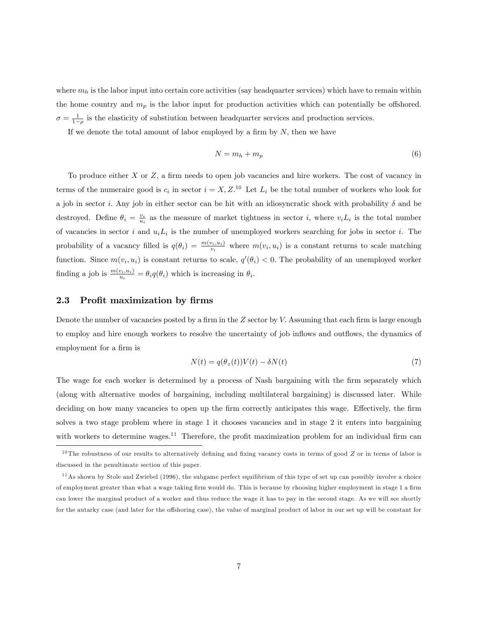where  $m_h$  is the labor input into certain core activities (say headquarter services) which have to remain within the home country and  $m_p$  is the labor input for production activities which can potentially be offshored.  $\sigma = \frac{1}{1-\rho}$  is the elasticity of substiution between headquarter services and production services.

If we denote the total amount of labor employed by a firm by  $N$ , then we have

$$
N = m_h + m_p \tag{6}
$$

To produce either  $X$  or  $Z$ , a firm needs to open job vacancies and hire workers. The cost of vacancy in terms of the numeraire good is  $c_i$  in sector  $i = X, Z$ .<sup>10</sup> Let  $L_i$  be the total number of workers who look for a job in sector i. Any job in either sector can be hit with an idiosyncratic shock with probability  $\delta$  and be destroyed. Define  $\theta_i = \frac{v_i}{u_i}$  as the measure of market tightness in sector *i*, where  $v_i L_i$  is the total number of vacancies in sector i and  $u_i L_i$  is the number of unemployed workers searching for jobs in sector i. The probability of a vacancy filled is  $q(\theta_i) = \frac{m(v_i, u_i)}{v_i}$  where  $m(v_i, u_i)$  is a constant returns to scale matching function. Since  $m(v_i, u_i)$  is constant returns to scale,  $q'(\theta_i) < 0$ . The probability of an unemployed worker finding a job is  $\frac{m(v_i, u_i)}{u_i} = \theta_i q(\theta_i)$  which is increasing in  $\theta_i$ .

#### 2.3 Profit maximization by firms

Denote the number of vacancies posted by a firm in the  $Z$  sector by  $V$ . Assuming that each firm is large enough to employ and hire enough workers to resolve the uncertainty of job inflows and outflows, the dynamics of employment for a firm is

$$
\dot{N}(t) = q(\theta_z(t))V(t) - \delta N(t)
$$
\n(7)

The wage for each worker is determined by a process of Nash bargaining with the firm separately which (along with alternative modes of bargaining, including multilateral bargaining) is discussed later. While deciding on how many vacancies to open up the firm correctly anticipates this wage. Effectively, the firm solves a two stage problem where in stage 1 it chooses vacancies and in stage 2 it enters into bargaining with workers to determine wages.<sup>11</sup> Therefore, the profit maximization problem for an individual firm can

 $10$  The robustness of our results to alternatively defining and fixing vacancy costs in terms of good  $Z$  or in terms of labor is discussed in the penultimate section of this paper.

 $11$ As shown by Stole and Zwiebel (1996), the subgame perfect equilibrium of this type of set up can possibly involve a choice of employment greater than what a wage taking firm would do. This is because by choosing higher employment in stage 1 a firm can lower the marginal product of a worker and thus reduce the wage it has to pay in the second stage. As we will see shortly for the autarky case (and later for the offshoring case), the value of marginal product of labor in our set up will be constant for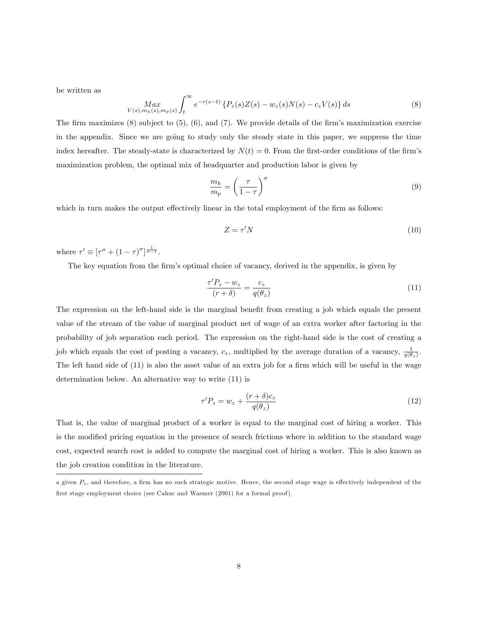be written as

$$
\underset{V(s),m_h(s),m_p(s)}{\operatorname{Max}} \int_{t}^{\infty} e^{-r(s-t)} \left\{ P_z(s)Z(s) - w_z(s)N(s) - c_z V(s) \right\} ds \tag{8}
$$

The firm maximizes  $(8)$  subject to  $(5)$ ,  $(6)$ , and  $(7)$ . We provide details of the firm's maximization exercise in the appendix. Since we are going to study only the steady state in this paper, we suppress the time index hereafter. The steady-state is characterized by  $\dot{N}(t) = 0$ . From the first-order conditions of the firm's maximization problem, the optimal mix of headquarter and production labor is given by

$$
\frac{m_h}{m_p} = \left(\frac{\tau}{1-\tau}\right)^{\sigma} \tag{9}
$$

which in turn makes the output effectively linear in the total employment of the firm as follows:

$$
Z = \tau' N \tag{10}
$$

where  $\tau' \equiv [\tau^{\sigma} + (1 - \tau)^{\sigma}]^{\frac{1}{\sigma - 1}}$ .

The key equation from the firm's optimal choice of vacancy, derived in the appendix, is given by

$$
\frac{\tau'P_z - w_z}{(r+\delta)} = \frac{c_z}{q(\theta_z)}\tag{11}
$$

The expression on the left-hand side is the marginal benefit from creating a job which equals the present value of the stream of the value of marginal product net of wage of an extra worker after factoring in the probability of job separation each period. The expression on the right-hand side is the cost of creating a job which equals the cost of posting a vacancy,  $c_z$ , multiplied by the average duration of a vacancy,  $\frac{1}{q(\theta_z)}$ . The left hand side of  $(11)$  is also the asset value of an extra job for a firm which will be useful in the wage determination below. An alternative way to write (11) is

$$
\tau' P_z = w_z + \frac{(r+\delta)c_z}{q(\theta_z)}
$$
\n(12)

That is, the value of marginal product of a worker is equal to the marginal cost of hiring a worker. This is the modified pricing equation in the presence of search frictions where in addition to the standard wage cost, expected search cost is added to compute the marginal cost of hiring a worker. This is also known as the job creation condition in the literature.

a given  $P_z$ , and therefore, a firm has no such strategic motive. Hence, the second stage wage is effectively independent of the first stage employment choice (see Cahuc and Wasmer (2001) for a formal proof).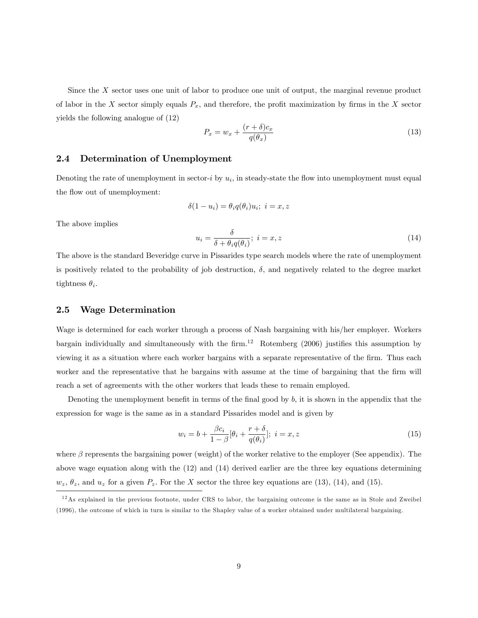Since the X sector uses one unit of labor to produce one unit of output, the marginal revenue product of labor in the X sector simply equals  $P_x$ , and therefore, the profit maximization by firms in the X sector yields the following analogue of (12)

$$
P_x = w_x + \frac{(r+\delta)c_x}{q(\theta_x)}
$$
\n(13)

## 2.4 Determination of Unemployment

Denoting the rate of unemployment in sector-*i* by  $u_i$ , in steady-state the flow into unemployment must equal the flow out of unemployment:

$$
\delta(1-u_i)=\theta_i q(\theta_i)u_i;~i=x,z
$$

The above implies

$$
u_i = \frac{\delta}{\delta + \theta_i q(\theta_i)}; \ i = x, z \tag{14}
$$

The above is the standard Beveridge curve in Pissarides type search models where the rate of unemployment is positively related to the probability of job destruction,  $\delta$ , and negatively related to the degree market tightness  $\theta_i$ .

#### 2.5 Wage Determination

Wage is determined for each worker through a process of Nash bargaining with his/her employer. Workers bargain individually and simultaneously with the firm.<sup>12</sup> Rotemberg (2006) justifies this assumption by viewing it as a situation where each worker bargains with a separate representative of the firm. Thus each worker and the representative that he bargains with assume at the time of bargaining that the firm will reach a set of agreements with the other workers that leads these to remain employed.

Denoting the unemployment benefit in terms of the final good by  $b$ , it is shown in the appendix that the expression for wage is the same as in a standard Pissarides model and is given by

$$
w_i = b + \frac{\beta c_i}{1 - \beta} [\theta_i + \frac{r + \delta}{q(\theta_i)}]; \ i = x, z
$$
\n
$$
(15)
$$

where  $\beta$  represents the bargaining power (weight) of the worker relative to the employer (See appendix). The above wage equation along with the (12) and (14) derived earlier are the three key equations determining  $w_z$ ,  $\theta_z$ , and  $u_z$  for a given  $P_z$ . For the X sector the three key equations are (13), (14), and (15).

<sup>&</sup>lt;sup>12</sup>As explained in the previous footnote, under CRS to labor, the bargaining outcome is the same as in Stole and Zweibel (1996), the outcome of which in turn is similar to the Shapley value of a worker obtained under multilateral bargaining.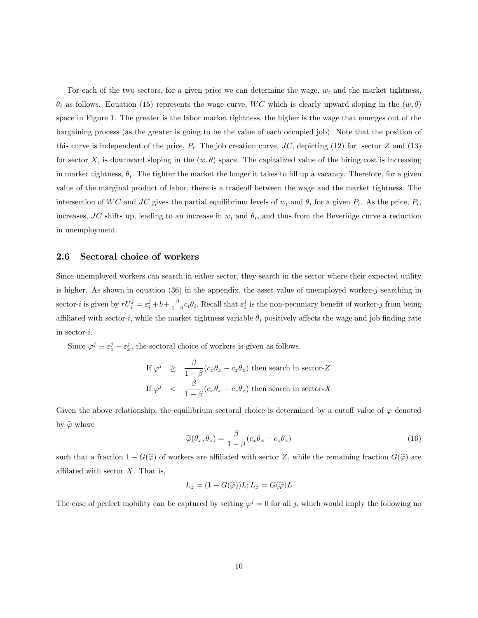For each of the two sectors, for a given price we can determine the wage,  $w_i$  and the market tightness,  $\theta_i$  as follows. Equation (15) represents the wage curve, WC which is clearly upward sloping in the  $(w, \theta)$ space in Figure 1. The greater is the labor market tightness, the higher is the wage that emerges out of the bargaining process (as the greater is going to be the value of each occupied job). Note that the position of this curve is independent of the price,  $P_i$ . The job creation curve, JC, depicting (12) for sector Z and (13) for sector X, is downward sloping in the  $(w, \theta)$  space. The capitalized value of the hiring cost is increasing in market tightness,  $\theta_i$ . The tighter the market the longer it takes to fill up a vacancy. Therefore, for a given value of the marginal product of labor, there is a tradeoff between the wage and the market tightness. The intersection of WC and JC gives the partial equilibrium levels of  $w_i$  and  $\theta_i$  for a given  $P_i$ . As the price,  $P_i$ , increases, JC shifts up, leading to an increase in  $w_i$  and  $\theta_i$ , and thus from the Beveridge curve a reduction in unemployment.

## 2.6 Sectoral choice of workers

Since unemployed workers can search in either sector, they search in the sector where their expected utility is higher. As shown in equation  $(36)$  in the appendix, the asset value of unemployed worker-j searching in sector-*i* is given by  $rU_i^j = \varepsilon_i^j + b + \frac{\beta}{1-\beta}c_i\theta_i$ . Recall that  $\varepsilon_i^j$  is the non-pecuniary benefit of worker-j from being affiliated with sector-i, while the market tightness variable  $\theta_i$  positively affects the wage and job finding rate in sector-i:

Since  $\varphi^j \equiv \varepsilon^j_z - \varepsilon^j_x$ , the sectoral choice of workers is given as follows.

If 
$$
\varphi^j \geq \frac{\beta}{1-\beta}(c_x\theta_x - c_z\theta_z)
$$
 then search in sector-Z  
If  $\varphi^j < \frac{\beta}{1-\beta}(c_x\theta_x - c_z\theta_z)$  then search in sector-X

Given the above relationship, the equilibrium sectoral choice is determined by a cutoff value of  $\varphi$  denoted by  $\widehat{\varphi}$  where

$$
\widehat{\varphi}(\theta_x, \theta_z) = \frac{\beta}{1 - \beta} (c_x \theta_x - c_z \theta_z)
$$
\n(16)

such that a fraction  $1 - G(\hat{\varphi})$  of workers are affiliated with sector Z, while the remaining fraction  $G(\hat{\varphi})$  are affilated with sector  $X$ . That is,

$$
L_z = (1 - G(\widehat{\varphi}))L; L_x = G(\widehat{\varphi})L
$$

The case of perfect mobility can be captured by setting  $\varphi^j = 0$  for all j, which would imply the following no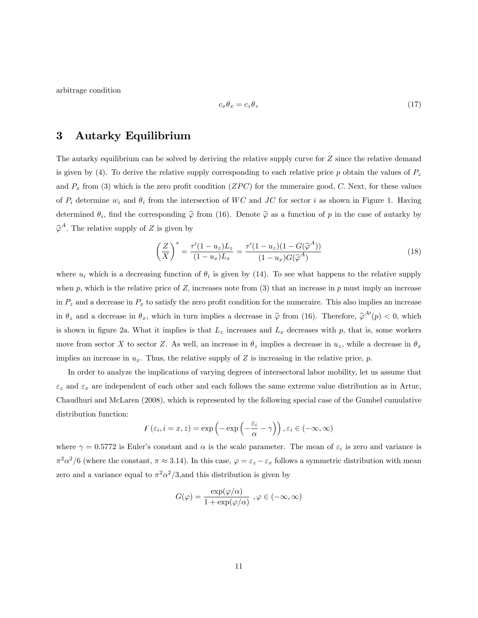arbitrage condition

$$
c_x \theta_x = c_z \theta_z \tag{17}
$$

# 3 Autarky Equilibrium

The autarky equilibrium can be solved by deriving the relative supply curve for Z since the relative demand is given by (4). To derive the relative supply corresponding to each relative price p obtain the values of  $P<sub>z</sub>$ and  $P_x$  from (3) which is the zero profit condition (ZPC) for the numeraire good, C. Next, for these values of  $P_i$  determine  $w_i$  and  $\theta_i$  from the intersection of WC and JC for sector i as shown in Figure 1. Having determined  $\theta_i$ , find the corresponding  $\hat{\varphi}$  from (16). Denote  $\hat{\varphi}$  as a function of p in the case of autarky by  $\widehat{\varphi}^A$ . The relative supply of Z is given by

$$
\left(\frac{Z}{X}\right)^s = \frac{\tau'(1 - u_z)L_z}{(1 - u_x)L_x} = \frac{\tau'(1 - u_z)(1 - G(\hat{\varphi}^A))}{(1 - u_x)G(\hat{\varphi}^A)}
$$
(18)

where  $u_i$  which is a decreasing function of  $\theta_i$  is given by (14). To see what happens to the relative supply when p; which is the relative price of  $Z$ , increases note from (3) that an increase in p must imply an increase in  $P_z$  and a decrease in  $P_x$  to satisfy the zero profit condition for the numeraire. This also implies an increase in  $\theta_z$  and a decrease in  $\theta_x$ , which in turn implies a decrease in  $\hat{\varphi}$  from (16). Therefore,  $\hat{\varphi}^{A'}(p) < 0$ , which is shown in figure 2a. What it implies is that  $L_z$  increases and  $L_x$  decreases with p, that is, some workers move from sector X to sector Z. As well, an increase in  $\theta_z$  implies a decrease in  $u_z$ , while a decrease in  $\theta_x$ implies an increase in  $u_x$ . Thus, the relative supply of Z is increasing in the relative price, p.

In order to analyze the implications of varying degrees of intersectoral labor mobility, let us assume that  $\varepsilon_z$  and  $\varepsilon_x$  are independent of each other and each follows the same extreme value distribution as in Artuc, Chaudhuri and McLaren (2008), which is represented by the following special case of the Gumbel cumulative distribution function:

$$
F(\varepsilon_i, i = x, z) = \exp\left(-\exp\left(-\frac{\varepsilon_i}{\alpha} - \gamma\right)\right), \varepsilon_i \in (-\infty, \infty)
$$

where  $\gamma = 0.5772$  is Euler's constant and  $\alpha$  is the scale parameter. The mean of  $\varepsilon_i$  is zero and variance is  $\pi^2 \alpha^2/6$  (where the constant,  $\pi \approx 3.14$ ). In this case,  $\varphi = \varepsilon_z - \varepsilon_x$  follows a symmetric distribution with mean zero and a variance equal to  $\pi^2 \alpha^2/3$ , and this distribution is given by

$$
G(\varphi) = \frac{\exp(\varphi/\alpha)}{1 + \exp(\varphi/\alpha)}, \varphi \in (-\infty, \infty)
$$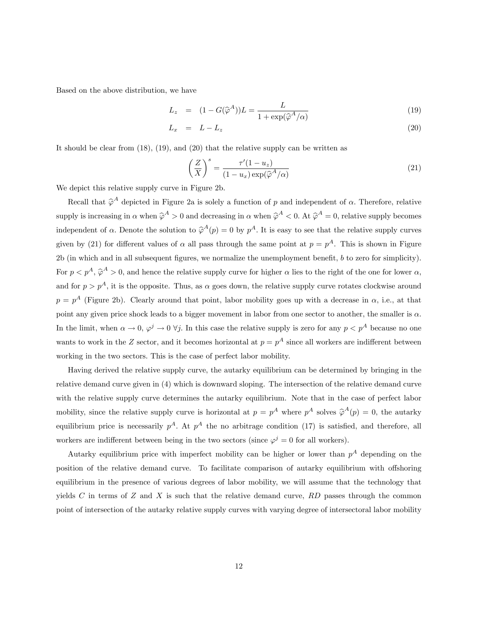Based on the above distribution, we have

$$
L_z = (1 - G(\hat{\varphi}^A))L = \frac{L}{1 + \exp(\hat{\varphi}^A/\alpha)}
$$
(19)

$$
L_x = L - L_z \tag{20}
$$

It should be clear from  $(18)$ ,  $(19)$ , and  $(20)$  that the relative supply can be written as

$$
\left(\frac{Z}{X}\right)^s = \frac{\tau'(1 - u_z)}{(1 - u_x) \exp(\widehat{\varphi}^A/\alpha)}
$$
\n(21)

We depict this relative supply curve in Figure 2b.

Recall that  $\hat{\varphi}^A$  depicted in Figure 2a is solely a function of p and independent of  $\alpha$ . Therefore, relative supply is increasing in  $\alpha$  when  $\hat{\varphi}^A > 0$  and decreasing in  $\alpha$  when  $\hat{\varphi}^A < 0$ . At  $\hat{\varphi}^A = 0$ , relative supply becomes independent of  $\alpha$ . Denote the solution to  $\hat{\varphi}^A(p) = 0$  by  $p^A$ . It is easy to see that the relative supply curves given by (21) for different values of  $\alpha$  all pass through the same point at  $p = p^A$ . This is shown in Figure 2b (in which and in all subsequent figures, we normalize the unemployment benefit,  $b$  to zero for simplicity). For  $p < p^A$ ,  $\hat{\varphi}^A > 0$ , and hence the relative supply curve for higher  $\alpha$  lies to the right of the one for lower  $\alpha$ , and for  $p > p<sup>A</sup>$ , it is the opposite. Thus, as  $\alpha$  goes down, the relative supply curve rotates clockwise around  $p = p<sup>A</sup>$  (Figure 2b). Clearly around that point, labor mobility goes up with a decrease in  $\alpha$ , i.e., at that point any given price shock leads to a bigger movement in labor from one sector to another, the smaller is  $\alpha$ . In the limit, when  $\alpha \to 0$ ,  $\varphi^j \to 0$   $\forall j$ . In this case the relative supply is zero for any  $p < p^A$  because no one wants to work in the Z sector, and it becomes horizontal at  $p = p^A$  since all workers are indifferent between working in the two sectors: This is the case of perfect labor mobility.

Having derived the relative supply curve, the autarky equilibrium can be determined by bringing in the relative demand curve given in (4) which is downward sloping. The intersection of the relative demand curve with the relative supply curve determines the autarky equilibrium. Note that in the case of perfect labor mobility, since the relative supply curve is horizontal at  $p = p^A$  where  $p^A$  solves  $\hat{\varphi}^A(p) = 0$ , the autarky equilibrium price is necessarily  $p^A$ . At  $p^A$  the no arbitrage condition (17) is satisfied, and therefore, all workers are indifferent between being in the two sectors (since  $\varphi^j = 0$  for all workers).

Autarky equilibrium price with imperfect mobility can be higher or lower than  $p^A$  depending on the position of the relative demand curve. To facilitate comparison of autarky equilibrium with offshoring equilibrium in the presence of various degrees of labor mobility, we will assume that the technology that yields C in terms of Z and X is such that the relative demand curve,  $RD$  passes through the common point of intersection of the autarky relative supply curves with varying degree of intersectoral labor mobility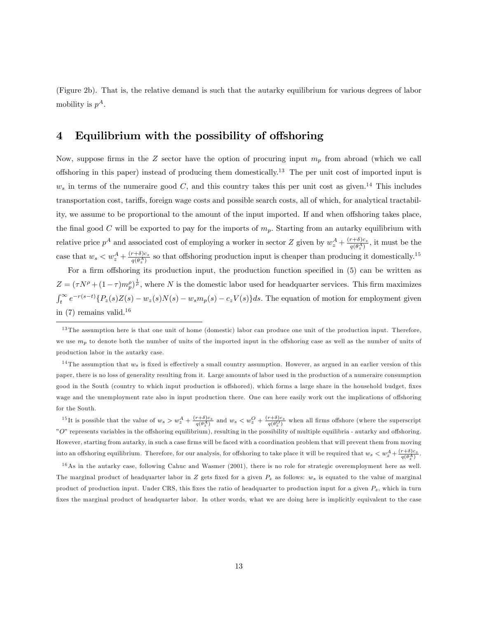(Figure 2b). That is, the relative demand is such that the autarky equilibrium for various degrees of labor mobility is  $p^A$ .

# 4 Equilibrium with the possibility of offshoring

Now, suppose firms in the Z sector have the option of procuring input  $m_p$  from abroad (which we call offshoring in this paper) instead of producing them domestically.<sup>13</sup> The per unit cost of imported input is  $w_s$  in terms of the numeraire good C, and this country takes this per unit cost as given.<sup>14</sup> This includes transportation cost, tariffs, foreign wage costs and possible search costs, all of which, for analytical tractability, we assume to be proportional to the amount of the input imported. If and when offshoring takes place, the final good C will be exported to pay for the imports of  $m_p$ . Starting from an autarky equilibrium with relative price  $p^A$  and associated cost of employing a worker in sector Z given by  $w_z^A + \frac{(r+\delta)c_z}{q(\theta_z^A)}$ , it must be the case that  $w_s < w_z^A + \frac{(r+\delta)c_z}{q(\theta_z^A)}$  so that offshoring production input is cheaper than producing it domestically.<sup>15</sup>

For a firm offshoring its production input, the production function specified in  $(5)$  can be written as  $Z = (\tau N^{\rho} + (1 - \tau) m_{p}^{\rho})^{\frac{1}{\rho}}$ , where N is the domestic labor used for headquarter services. This firm maximizes  $\int_t^{\infty} e^{-r(s-t)} \{P_z(s)Z(s) - w_z(s)N(s) - w_s m_p(s) - c_zV(s)\} ds$ . The equation of motion for employment given in  $(7)$  remains valid.<sup>16</sup>

<sup>14</sup>The assumption that  $w_s$  is fixed is effectively a small country assumption. However, as argued in an earlier version of this paper, there is no loss of generality resulting from it. Large amounts of labor used in the production of a numeraire consumption good in the South (country to which input production is offshored), which forms a large share in the household budget, fixes wage and the unemployment rate also in input production there. One can here easily work out the implications of offshoring for the South.

<sup>15</sup>It is possible that the value of  $w_s > w_z^A + \frac{(r+\delta)c_z}{q(\theta_z^A)}$  and  $w_s < w_z^O + \frac{(r+\delta)c_z}{q(\theta_z^O)}$  when all firms offshore (where the superscript " $O$ " represents variables in the offshoring equilibrium), resulting in the possibility of multiple equilibria - autarky and offshoring. However, starting from autarky, in such a case firms will be faced with a coordination problem that will prevent them from moving into an offshoring equilibrium. Therefore, for our analysis, for offshoring to take place it will be required that  $w_s < w_z^A + \frac{(r+\delta)c_z}{q(\theta_z^A)}$ .

 $16$ As in the autarky case, following Cahuc and Wasmer (2001), there is no role for strategic overemployment here as well. The marginal product of headquarter labor in Z gets fixed for a given  $P_z$  as follows:  $w_s$  is equated to the value of marginal product of production input. Under CRS, this fixes the ratio of headquarter to production input for a given  $P_z$ , which in turn fixes the marginal product of headquarter labor. In other words, what we are doing here is implicitly equivalent to the case

 $13$  The assumption here is that one unit of home (domestic) labor can produce one unit of the production input. Therefore, we use  $m_p$  to denote both the number of units of the imported input in the offshoring case as well as the number of units of production labor in the autarky case.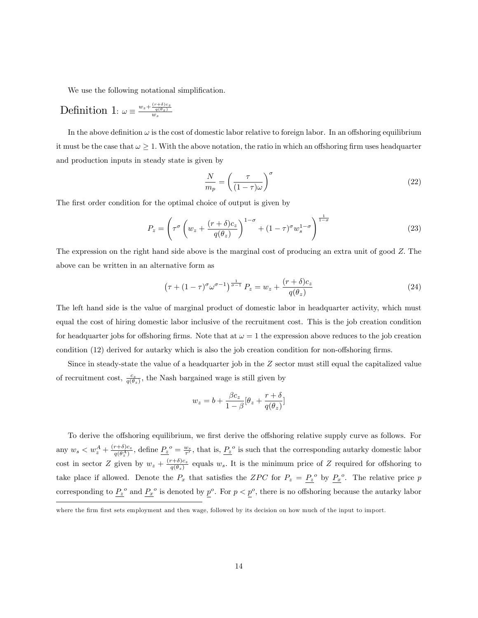We use the following notational simplification.

# Definition 1:  $\omega \equiv \frac{w_z + \frac{(r+\delta)c_z}{q(\theta_z)}}{w_s}$

In the above definition  $\omega$  is the cost of domestic labor relative to foreign labor. In an offshoring equilibrium it must be the case that  $\omega \geq 1$ . With the above notation, the ratio in which an offshoring firm uses headquarter and production inputs in steady state is given by

$$
\frac{N}{m_p} = \left(\frac{\tau}{(1-\tau)\omega}\right)^{\sigma} \tag{22}
$$

The first order condition for the optimal choice of output is given by

$$
P_z = \left(\tau^{\sigma} \left(w_z + \frac{(r+\delta)c_z}{q(\theta_z)}\right)^{1-\sigma} + (1-\tau)^{\sigma} w_s^{1-\sigma}\right)^{\frac{1}{1-\sigma}}
$$
(23)

The expression on the right hand side above is the marginal cost of producing an extra unit of good Z: The above can be written in an alternative form as

$$
\left(\tau + (1 - \tau)^{\sigma} \omega^{\sigma - 1}\right)^{\frac{1}{\sigma - 1}} P_z = w_z + \frac{(r + \delta)c_z}{q(\theta_z)}
$$
\n
$$
(24)
$$

The left hand side is the value of marginal product of domestic labor in headquarter activity, which must equal the cost of hiring domestic labor inclusive of the recruitment cost. This is the job creation condition for headquarter jobs for offshoring firms. Note that at  $\omega = 1$  the expression above reduces to the job creation condition  $(12)$  derived for autarky which is also the job creation condition for non-offshoring firms.

Since in steady-state the value of a headquarter job in the Z sector must still equal the capitalized value of recruitment cost,  $\frac{c_z}{q(\theta_z)}$ , the Nash bargained wage is still given by

$$
w_z = b + \frac{\beta c_z}{1 - \beta} [\theta_z + \frac{r + \delta}{q(\theta_z)}]
$$

To derive the offshoring equilibrium, we first derive the offshoring relative supply curve as follows. For any  $w_s < w_z^A + \frac{(r+\delta)c_z}{q(\theta_z^A)}$ , define  $\underline{P_z}^o = \frac{w_s}{\tau'}$ , that is,  $\underline{P_z}^o$  is such that the corresponding autarky domestic labor cost in sector Z given by  $w_z + \frac{(r+\delta)c_z}{a(\theta_z)}$  $\frac{\gamma+0}{q(\theta_z)}$  equals  $w_s$ . It is the minimum price of Z required for offshoring to take place if allowed. Denote the  $P_x$  that satisfies the ZPC for  $P_z = P_z^o$  by  $P_x^o$ . The relative price p corresponding to  $P_z^o$  and  $P_x^o$  is denoted by  $p^o$ . For  $p < p^o$ , there is no offshoring because the autarky labor

where the firm first sets employment and then wage, followed by its decision on how much of the input to import.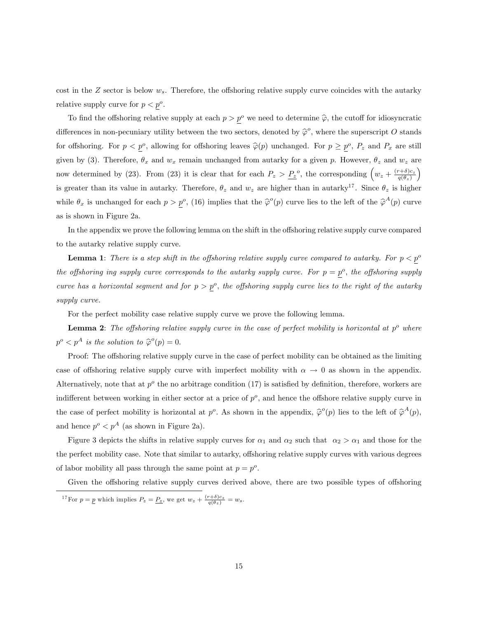cost in the  $Z$  sector is below  $w_s$ . Therefore, the offshoring relative supply curve coincides with the autarky relative supply curve for  $p < p^o$ .

To find the offshoring relative supply at each  $p > p^{\circ}$  we need to determine  $\hat{\varphi}$ , the cutoff for idiosyncratic differences in non-pecuniary utility between the two sectors, denoted by  $\hat{\varphi}^o$ , where the superscript O stands for offshoring. For  $p < p^o$ , allowing for offshoring leaves  $\hat{\varphi}(p)$  unchanged. For  $p \geq p^o$ ,  $P_z$  and  $P_x$  are still given by (3). Therefore,  $\theta_x$  and  $w_x$  remain unchanged from autarky for a given p. However,  $\theta_z$  and  $w_z$  are now determined by (23). From (23) it is clear that for each  $P_z > P_z^o$ , the corresponding  $\left(w_z + \frac{(r+\delta)c_z}{a(\theta_o)}\right)$  $q(\theta_z)$  $\overline{ }$ is greater than its value in autarky. Therefore,  $\theta_z$  and  $w_z$  are higher than in autarky<sup>17</sup>. Since  $\theta_z$  is higher while  $\theta_x$  is unchanged for each  $p > p^o$ , (16) implies that the  $\hat{\varphi}^o(p)$  curve lies to the left of the  $\hat{\varphi}^A(p)$  curve as is shown in Figure 2a.

In the appendix we prove the following lemma on the shift in the offshoring relative supply curve compared to the autarky relative supply curve.

**Lemma 1:** There is a step shift in the offshoring relative supply curve compared to autarky. For  $p < p<sup>o</sup>$ the offshoring ing supply curve corresponds to the autarky supply curve. For  $p = p^o$ , the offshoring supply curve has a horizontal segment and for  $p > p^o$ , the offshoring supply curve lies to the right of the autarky supply curve.

For the perfect mobility case relative supply curve we prove the following lemma.

**Lemma 2**: The offshoring relative supply curve in the case of perfect mobility is horizontal at  $p^o$  where  $p^o < p^A$  is the solution to  $\hat{\varphi}^o(p) = 0$ .

Proof: The offshoring relative supply curve in the case of perfect mobility can be obtained as the limiting case of offshoring relative supply curve with imperfect mobility with  $\alpha \to 0$  as shown in the appendix. Alternatively, note that at  $p^o$  the no arbitrage condition (17) is satisfied by definition, therefore, workers are indifferent between working in either sector at a price of  $p^o$ , and hence the offshore relative supply curve in the case of perfect mobility is horizontal at  $p^o$ . As shown in the appendix,  $\hat{\varphi}^o(p)$  lies to the left of  $\hat{\varphi}^A(p)$ , and hence  $p^o < p^A$  (as shown in Figure 2a).

Figure 3 depicts the shifts in relative supply curves for  $\alpha_1$  and  $\alpha_2$  such that  $\alpha_2 > \alpha_1$  and those for the the perfect mobility case. Note that similar to autarky, offshoring relative supply curves with various degrees of labor mobility all pass through the same point at  $p = p^o$ .

Given the offshoring relative supply curves derived above, there are two possible types of offshoring <sup>17</sup>For  $p = p$  which implies  $P_z = \underline{P_z}$ , we get  $w_z + \frac{(r+\delta)c_z}{q(\theta_z)} = w_s$ .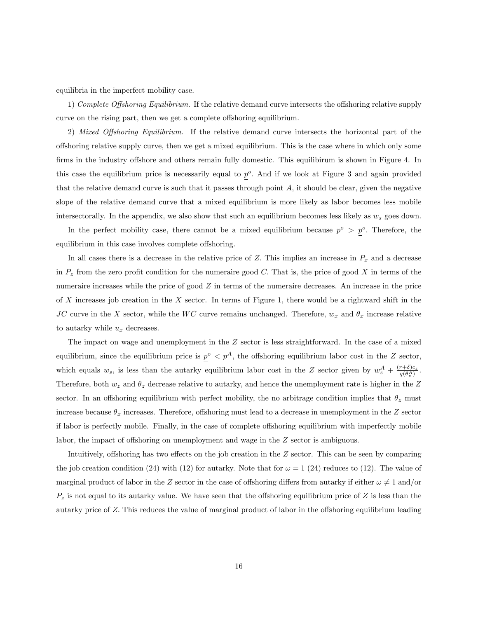equilibria in the imperfect mobility case.

1) Complete Offshoring Equilibrium. If the relative demand curve intersects the offshoring relative supply curve on the rising part, then we get a complete offshoring equilibrium.

2) Mixed Offshoring Equilibrium. If the relative demand curve intersects the horizontal part of the o§shoring relative supply curve, then we get a mixed equilibrium. This is the case where in which only some firms in the industry offshore and others remain fully domestic. This equilibirum is shown in Figure 4. In this case the equilibrium price is necessarily equal to  $p^o$ . And if we look at Figure 3 and again provided that the relative demand curve is such that it passes through point  $A$ , it should be clear, given the negative slope of the relative demand curve that a mixed equilibrium is more likely as labor becomes less mobile intersectorally. In the appendix, we also show that such an equilibrium becomes less likely as  $w_s$  goes down.

In the perfect mobility case, there cannot be a mixed equilibrium because  $p^o > p^o$ . Therefore, the equilibrium in this case involves complete offshoring.

In all cases there is a decrease in the relative price of  $Z$ . This implies an increase in  $P_x$  and a decrease in  $P<sub>z</sub>$  from the zero profit condition for the numeraire good C. That is, the price of good X in terms of the numeraire increases while the price of good Z in terms of the numeraire decreases. An increase in the price of X increases job creation in the X sector. In terms of Figure 1, there would be a rightward shift in the JC curve in the X sector, while the WC curve remains unchanged. Therefore,  $w_x$  and  $\theta_x$  increase relative to autarky while  $u_x$  decreases.

The impact on wage and unemployment in the Z sector is less straightforward. In the case of a mixed equilibrium, since the equilibrium price is  $p^o < p^A$ , the offshoring equilibrium labor cost in the Z sector, which equals  $w_s$ , is less than the autarky equilibrium labor cost in the Z sector given by  $w_z^A + \frac{(r+\delta)c_z}{q(\theta_z^A)}$ . Therefore, both  $w_z$  and  $\theta_z$  decrease relative to autarky, and hence the unemployment rate is higher in the Z sector. In an offshoring equilibrium with perfect mobility, the no arbitrage condition implies that  $\theta_z$  must increase because  $\theta_x$  increases. Therefore, offshoring must lead to a decrease in unemployment in the Z sector if labor is perfectly mobile. Finally, in the case of complete offshoring equilibrium with imperfectly mobile labor, the impact of offshoring on unemployment and wage in the  $Z$  sector is ambiguous.

Intuitively, offshoring has two effects on the job creation in the  $Z$  sector. This can be seen by comparing the job creation condition (24) with (12) for autarky. Note that for  $\omega = 1$  (24) reduces to (12). The value of marginal product of labor in the Z sector in the case of offshoring differs from autarky if either  $\omega \neq 1$  and/or  $P<sub>z</sub>$  is not equal to its autarky value. We have seen that the offshoring equilibrium price of Z is less than the autarky price of Z. This reduces the value of marginal product of labor in the offshoring equilibrium leading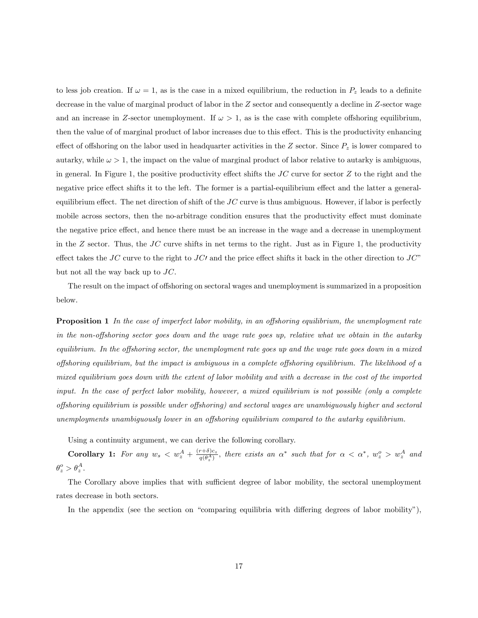to less job creation. If  $\omega = 1$ , as is the case in a mixed equilibrium, the reduction in  $P_z$  leads to a definite decrease in the value of marginal product of labor in the Z sector and consequently a decline in Z-sector wage and an increase in Z-sector unemployment. If  $\omega > 1$ , as is the case with complete offshoring equilibrium, then the value of of marginal product of labor increases due to this effect. This is the productivity enhancing effect of offshoring on the labor used in headquarter activities in the Z sector. Since  $P<sub>z</sub>$  is lower compared to autarky, while  $\omega > 1$ , the impact on the value of marginal product of labor relative to autarky is ambiguous. in general. In Figure 1, the positive productivity effect shifts the  $JC$  curve for sector  $Z$  to the right and the negative price effect shifts it to the left. The former is a partial-equilibrium effect and the latter a generalequilibrium effect. The net direction of shift of the  $JC$  curve is thus ambiguous. However, if labor is perfectly mobile across sectors, then the no-arbitrage condition ensures that the productivity effect must dominate the negative price effect, and hence there must be an increase in the wage and a decrease in unemployment in the  $Z$  sector. Thus, the  $JC$  curve shifts in net terms to the right. Just as in Figure 1, the productivity effect takes the JC curve to the right to JC' and the price effect shifts it back in the other direction to JC" but not all the way back up to  $JC$ .

The result on the impact of offshoring on sectoral wages and unemployment is summarized in a proposition below.

**Proposition 1** In the case of imperfect labor mobility, in an offshoring equilibrium, the unemployment rate in the non-offshoring sector goes down and the wage rate goes up, relative what we obtain in the autarky equilibrium. In the offshoring sector, the unemployment rate goes up and the wage rate goes down in a mixed offshoring equilibrium, but the impact is ambiguous in a complete offshoring equilibrium. The likelihood of a mixed equilibrium goes down with the extent of labor mobility and with a decrease in the cost of the imported input. In the case of perfect labor mobility, however, a mixed equilibrium is not possible (only a complete offshoring equilibrium is possible under offshoring) and sectoral wages are unambiguously higher and sectoral unemployments unambiguously lower in an offshoring equilibrium compared to the autarky equilibrium.

Using a continuity argument, we can derive the following corollary.

**Corollary 1:** For any  $w_s < w_z^A + \frac{(r+\delta)c_z}{q(\theta_z^A)}$ , there exists an  $\alpha^*$  such that for  $\alpha < \alpha^*$ ,  $w_z^o > w_z^A$  and  $\theta_z^o > \theta_z^A$ .

The Corollary above implies that with sufficient degree of labor mobility, the sectoral unemployment rates decrease in both sectors.

In the appendix (see the section on "comparing equilibria with differing degrees of labor mobility"),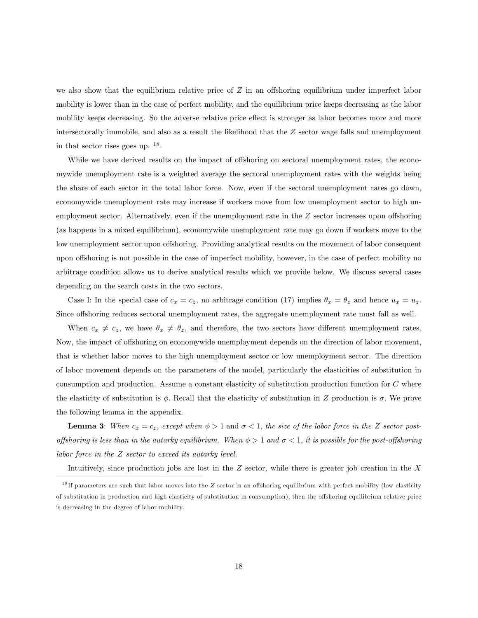we also show that the equilibrium relative price of  $Z$  in an offshoring equilibrium under imperfect labor mobility is lower than in the case of perfect mobility, and the equilibrium price keeps decreasing as the labor mobility keeps decreasing. So the adverse relative price effect is stronger as labor becomes more and more intersectorally immobile, and also as a result the likelihood that the Z sector wage falls and unemployment in that sector rises goes up. <sup>18</sup> .

While we have derived results on the impact of offshoring on sectoral unemployment rates, the economywide unemployment rate is a weighted average the sectoral unemployment rates with the weights being the share of each sector in the total labor force. Now, even if the sectoral unemployment rates go down, economywide unemployment rate may increase if workers move from low unemployment sector to high unemployment sector. Alternatively, even if the unemployment rate in the  $Z$  sector increases upon offshoring (as happens in a mixed equilibrium), economywide unemployment rate may go down if workers move to the low unemployment sector upon offshoring. Providing analytical results on the movement of labor consequent upon offshoring is not possible in the case of imperfect mobility, however, in the case of perfect mobility no arbitrage condition allows us to derive analytical results which we provide below. We discuss several cases depending on the search costs in the two sectors.

Case I: In the special case of  $c_x = c_z$ , no arbitrage condition (17) implies  $\theta_x = \theta_z$  and hence  $u_x = u_z$ . Since offshoring reduces sectoral unemployment rates, the aggregate unemployment rate must fall as well.

When  $c_x \neq c_z$ , we have  $\theta_x \neq \theta_z$ , and therefore, the two sectors have different unemployment rates. Now, the impact of offshoring on economywide unemployment depends on the direction of labor movement. that is whether labor moves to the high unemployment sector or low unemployment sector. The direction of labor movement depends on the parameters of the model, particularly the elasticities of substitution in consumption and production. Assume a constant elasticity of substitution production function for C where the elasticity of substitution is  $\phi$ . Recall that the elasticity of substitution in Z production is  $\sigma$ . We prove the following lemma in the appendix.

**Lemma 3:** When  $c_x = c_z$ , except when  $\phi > 1$  and  $\sigma < 1$ , the size of the labor force in the Z sector postoffshoring is less than in the autarky equilibrium. When  $\phi > 1$  and  $\sigma < 1$ , it is possible for the post-offshoring labor force in the Z sector to exceed its autarky level.

Intuitively, since production jobs are lost in the  $Z$  sector, while there is greater job creation in the  $X$ 

 $18$  If parameters are such that labor moves into the Z sector in an offshoring equilibrium with perfect mobility (low elasticity of substitution in production and high elasticity of substitution in consumption), then the offshoring equilibrium relative price is decreasing in the degree of labor mobility.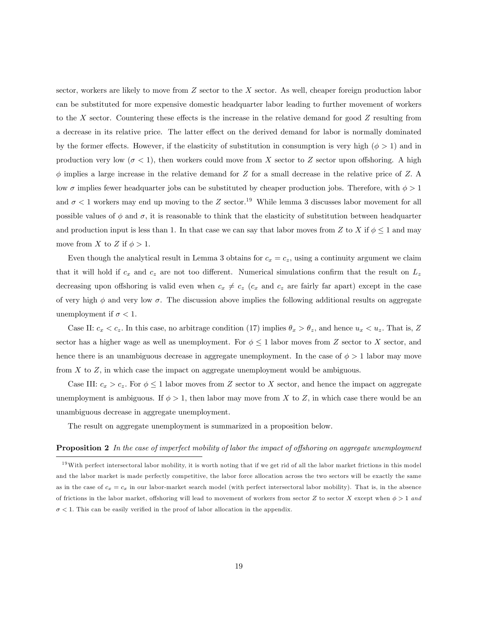sector, workers are likely to move from Z sector to the X sector. As well, cheaper foreign production labor can be substituted for more expensive domestic headquarter labor leading to further movement of workers to the X sector. Countering these effects is the increase in the relative demand for good  $Z$  resulting from a decrease in its relative price. The latter effect on the derived demand for labor is normally dominated by the former effects. However, if the elasticity of substitution in consumption is very high ( $\phi > 1$ ) and in production very low ( $\sigma$  < 1), then workers could move from X sector to Z sector upon offshoring. A high  $\phi$  implies a large increase in the relative demand for Z for a small decrease in the relative price of Z. A low  $\sigma$  implies fewer headquarter jobs can be substituted by cheaper production jobs. Therefore, with  $\phi > 1$ and  $\sigma$  < 1 workers may end up moving to the Z sector.<sup>19</sup> While lemma 3 discusses labor movement for all possible values of  $\phi$  and  $\sigma$ , it is reasonable to think that the elasticity of substitution between headquarter and production input is less than 1. In that case we can say that labor moves from Z to X if  $\phi \leq 1$  and may move from X to Z if  $\phi > 1$ .

Even though the analytical result in Lemma 3 obtains for  $c_x = c_z$ , using a continuity argument we claim that it will hold if  $c_x$  and  $c_z$  are not too different. Numerical simulations confirm that the result on  $L_z$ decreasing upon offshoring is valid even when  $c_x \neq c_z$  ( $c_x$  and  $c_z$  are fairly far apart) except in the case of very high  $\phi$  and very low  $\sigma$ . The discussion above implies the following additional results on aggregate unemployment if  $\sigma < 1$ .

Case II:  $c_x < c_z$ . In this case, no arbitrage condition (17) implies  $\theta_x > \theta_z$ , and hence  $u_x < u_z$ . That is, Z sector has a higher wage as well as unemployment. For  $\phi \leq 1$  labor moves from Z sector to X sector, and hence there is an unambiguous decrease in aggregate unemployment. In the case of  $\phi > 1$  labor may move from  $X$  to  $Z$ , in which case the impact on aggregate unemployment would be ambiguous.

Case III:  $c_x > c_z$ . For  $\phi \leq 1$  labor moves from Z sector to X sector, and hence the impact on aggregate unemployment is ambiguous. If  $\phi > 1$ , then labor may move from X to Z, in which case there would be an unambiguous decrease in aggregate unemployment.

The result on aggregate unemployment is summarized in a proposition below.

#### **Proposition 2** In the case of imperfect mobility of labor the impact of offshoring on aggregate unemployment

 $19$  With perfect intersectoral labor mobility, it is worth noting that if we get rid of all the labor market frictions in this model and the labor market is made perfectly competitive, the labor force allocation across the two sectors will be exactly the same as in the case of  $c_x = c_x$  in our labor-market search model (with perfect intersectoral labor mobility). That is, in the absence of frictions in the labor market, offshoring will lead to movement of workers from sector Z to sector X except when  $\phi > 1$  and  $\sigma$  < 1. This can be easily verified in the proof of labor allocation in the appendix.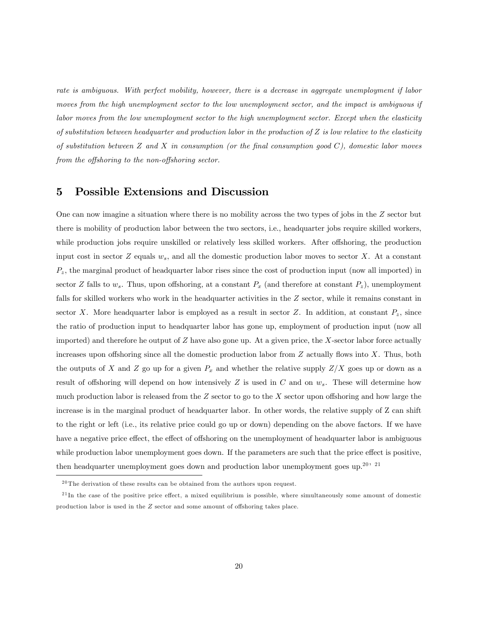rate is ambiguous. With perfect mobility, however, there is a decrease in aggregate unemployment if labor moves from the high unemployment sector to the low unemployment sector, and the impact is ambiguous if labor moves from the low unemployment sector to the high unemployment sector. Except when the elasticity of substitution between headquarter and production labor in the production of  $Z$  is low relative to the elasticity of substitution between  $Z$  and  $X$  in consumption (or the final consumption good  $C$ ), domestic labor moves from the offshoring to the non-offshoring sector.

# 5 Possible Extensions and Discussion

One can now imagine a situation where there is no mobility across the two types of jobs in the Z sector but there is mobility of production labor between the two sectors, i.e., headquarter jobs require skilled workers, while production jobs require unskilled or relatively less skilled workers. After offshoring, the production input cost in sector  $Z$  equals  $w_s$ , and all the domestic production labor moves to sector  $X$ . At a constant  $P_z$ , the marginal product of headquarter labor rises since the cost of production input (now all imported) in sector Z falls to  $w_s$ . Thus, upon offshoring, at a constant  $P_x$  (and therefore at constant  $P_z$ ), unemployment falls for skilled workers who work in the headquarter activities in the Z sector, while it remains constant in sector X. More headquarter labor is employed as a result in sector Z. In addition, at constant  $P_z$ , since the ratio of production input to headquarter labor has gone up, employment of production input (now all imported) and therefore he output of  $Z$  have also gone up. At a given price, the  $X$ -sector labor force actually increases upon offshoring since all the domestic production labor from  $Z$  actually flows into  $X$ . Thus, both the outputs of X and Z go up for a given  $P_x$  and whether the relative supply  $Z/X$  goes up or down as a result of offshoring will depend on how intensively Z is used in C and on  $w_s$ . These will determine how much production labor is released from the  $Z$  sector to go to the  $X$  sector upon offshoring and how large the increase is in the marginal product of headquarter labor. In other words, the relative supply of Z can shift to the right or left (i.e., its relative price could go up or down) depending on the above factors. If we have have a negative price effect, the effect of offshoring on the unemployment of headquarter labor is ambiguous while production labor unemployment goes down. If the parameters are such that the price effect is positive, then headquarter unemployment goes down and production labor unemployment goes up.<sup>20, 21</sup>

 $^{20}\mathrm{The}$  derivation of these results can be obtained from the authors upon request.

 $^{21}$ In the case of the positive price effect, a mixed equilibrium is possible, where simultaneously some amount of domestic production labor is used in the  $Z$  sector and some amount of offshoring takes place.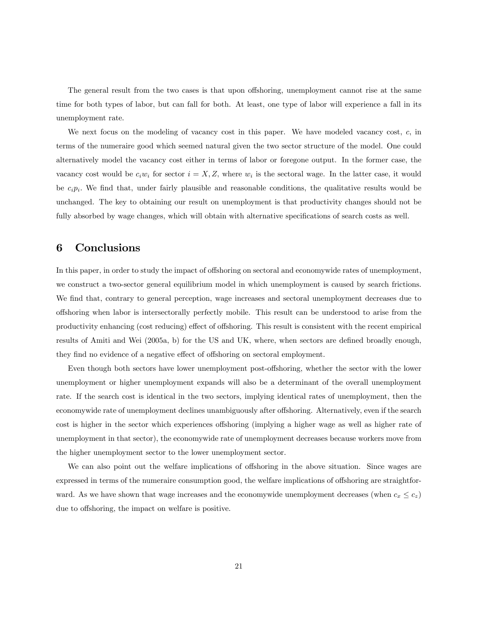The general result from the two cases is that upon offshoring, unemployment cannot rise at the same time for both types of labor, but can fall for both. At least, one type of labor will experience a fall in its unemployment rate.

We next focus on the modeling of vacancy cost in this paper. We have modeled vacancy cost,  $c$ , in terms of the numeraire good which seemed natural given the two sector structure of the model. One could alternatively model the vacancy cost either in terms of labor or foregone output. In the former case, the vacancy cost would be  $c_i w_i$  for sector  $i = X, Z$ , where  $w_i$  is the sectoral wage. In the latter case, it would be  $c_i p_i$ . We find that, under fairly plausible and reasonable conditions, the qualitative results would be unchanged. The key to obtaining our result on unemployment is that productivity changes should not be fully absorbed by wage changes, which will obtain with alternative specifications of search costs as well.

# 6 Conclusions

In this paper, in order to study the impact of offshoring on sectoral and economywide rates of unemployment, we construct a two-sector general equilibrium model in which unemployment is caused by search frictions. We find that, contrary to general perception, wage increases and sectoral unemployment decreases due to o§shoring when labor is intersectorally perfectly mobile. This result can be understood to arise from the productivity enhancing (cost reducing) effect of offshoring. This result is consistent with the recent empirical results of Amiti and Wei (2005a, b) for the US and UK, where, when sectors are defined broadly enough, they find no evidence of a negative effect of offshoring on sectoral employment.

Even though both sectors have lower unemployment post-offshoring, whether the sector with the lower unemployment or higher unemployment expands will also be a determinant of the overall unemployment rate. If the search cost is identical in the two sectors, implying identical rates of unemployment, then the economywide rate of unemployment declines unambiguously after offshoring. Alternatively, even if the search cost is higher in the sector which experiences offshoring (implying a higher wage as well as higher rate of unemployment in that sector), the economywide rate of unemployment decreases because workers move from the higher unemployment sector to the lower unemployment sector.

We can also point out the welfare implications of offshoring in the above situation. Since wages are expressed in terms of the numeraire consumption good, the welfare implications of offshoring are straightforward. As we have shown that wage increases and the economywide unemployment decreases (when  $c_x \leq c_z$ ) due to offshoring, the impact on welfare is positive.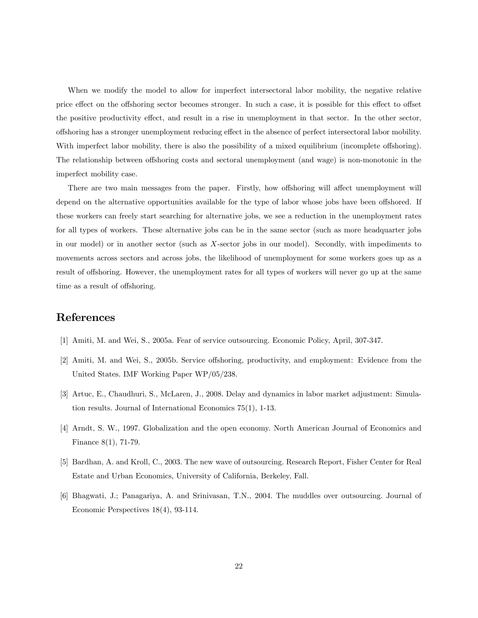When we modify the model to allow for imperfect intersectoral labor mobility, the negative relative price effect on the offshoring sector becomes stronger. In such a case, it is possible for this effect to offset the positive productivity effect, and result in a rise in unemployment in that sector. In the other sector, offshoring has a stronger unemployment reducing effect in the absence of perfect intersectoral labor mobility. With imperfect labor mobility, there is also the possibility of a mixed equilibrium (incomplete offshoring). The relationship between offshoring costs and sectoral unemployment (and wage) is non-monotonic in the imperfect mobility case.

There are two main messages from the paper. Firstly, how offshoring will affect unemployment will depend on the alternative opportunities available for the type of labor whose jobs have been offshored. If these workers can freely start searching for alternative jobs, we see a reduction in the unemployment rates for all types of workers. These alternative jobs can be in the same sector (such as more headquarter jobs in our model) or in another sector (such as X-sector jobs in our model). Secondly, with impediments to movements across sectors and across jobs, the likelihood of unemployment for some workers goes up as a result of offshoring. However, the unemployment rates for all types of workers will never go up at the same time as a result of offshoring.

# References

- [1] Amiti, M. and Wei, S., 2005a. Fear of service outsourcing. Economic Policy, April, 307-347.
- [2] Amiti, M. and Wei, S., 2005b. Service offshoring, productivity, and employment: Evidence from the United States. IMF Working Paper WP/05/238.
- [3] Artuc, E., Chaudhuri, S., McLaren, J., 2008. Delay and dynamics in labor market adjustment: Simulation results. Journal of International Economics 75(1), 1-13.
- [4] Arndt, S. W., 1997. Globalization and the open economy. North American Journal of Economics and Finance 8(1), 71-79.
- [5] Bardhan, A. and Kroll, C., 2003. The new wave of outsourcing. Research Report, Fisher Center for Real Estate and Urban Economics, University of California, Berkeley, Fall.
- [6] Bhagwati, J.; Panagariya, A. and Srinivasan, T.N., 2004. The muddles over outsourcing. Journal of Economic Perspectives 18(4), 93-114.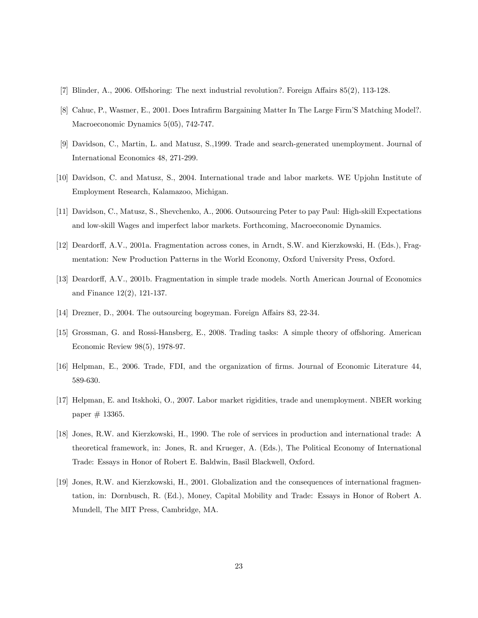- [7] Blinder, A., 2006. Offshoring: The next industrial revolution?. Foreign Affairs  $85(2)$ , 113-128.
- [8] Cahuc, P., Wasmer, E., 2001. Does Intrafirm Bargaining Matter In The Large Firm'S Matching Model?. Macroeconomic Dynamics 5(05), 742-747.
- [9] Davidson, C., Martin, L. and Matusz, S.,1999. Trade and search-generated unemployment. Journal of International Economics 48, 271-299.
- [10] Davidson, C. and Matusz, S., 2004. International trade and labor markets. WE Upjohn Institute of Employment Research, Kalamazoo, Michigan.
- [11] Davidson, C., Matusz, S., Shevchenko, A., 2006. Outsourcing Peter to pay Paul: High-skill Expectations and low-skill Wages and imperfect labor markets. Forthcoming, Macroeconomic Dynamics.
- [12] Deardorff, A.V., 2001a. Fragmentation across cones, in Arndt, S.W. and Kierzkowski, H. (Eds.), Fragmentation: New Production Patterns in the World Economy, Oxford University Press, Oxford.
- [13] Deardorff, A.V., 2001b. Fragmentation in simple trade models. North American Journal of Economics and Finance 12(2), 121-137.
- [14] Drezner, D., 2004. The outsourcing bogeyman. Foreign Affairs  $83, 22-34$ .
- [15] Grossman, G. and Rossi-Hansberg, E., 2008. Trading tasks: A simple theory of offshoring. American Economic Review 98(5), 1978-97.
- [16] Helpman, E., 2006. Trade, FDI, and the organization of Örms. Journal of Economic Literature 44, 589-630.
- [17] Helpman, E. and Itskhoki, O., 2007. Labor market rigidities, trade and unemployment. NBER working  $paper \# 13365.$
- [18] Jones, R.W. and Kierzkowski, H., 1990. The role of services in production and international trade: A theoretical framework, in: Jones, R. and Krueger, A. (Eds.), The Political Economy of International Trade: Essays in Honor of Robert E. Baldwin, Basil Blackwell, Oxford.
- [19] Jones, R.W. and Kierzkowski, H., 2001. Globalization and the consequences of international fragmentation, in: Dornbusch, R. (Ed.), Money, Capital Mobility and Trade: Essays in Honor of Robert A. Mundell, The MIT Press, Cambridge, MA.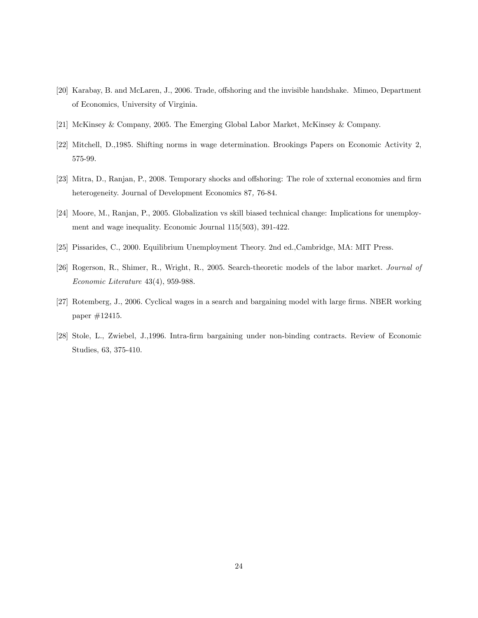- [20] Karabay, B. and McLaren, J., 2006. Trade, offshoring and the invisible handshake. Mimeo, Department of Economics, University of Virginia.
- [21] McKinsey & Company, 2005. The Emerging Global Labor Market, McKinsey & Company.
- [22] Mitchell, D.,1985. Shifting norms in wage determination. Brookings Papers on Economic Activity 2, 575-99.
- [23] Mitra, D., Ranjan, P., 2008. Temporary shocks and offshoring: The role of xxternal economies and firm heterogeneity. Journal of Development Economics 87, 76-84.
- [24] Moore, M., Ranjan, P., 2005. Globalization vs skill biased technical change: Implications for unemployment and wage inequality. Economic Journal 115(503), 391-422.
- [25] Pissarides, C., 2000. Equilibrium Unemployment Theory. 2nd ed.,Cambridge, MA: MIT Press.
- [26] Rogerson, R., Shimer, R., Wright, R., 2005. Search-theoretic models of the labor market. Journal of Economic Literature 43(4), 959-988.
- [27] Rotemberg, J., 2006. Cyclical wages in a search and bargaining model with large firms. NBER working paper #12415.
- [28] Stole, L., Zwiebel, J.,1996. Intra-Örm bargaining under non-binding contracts. Review of Economic Studies, 63, 375-410.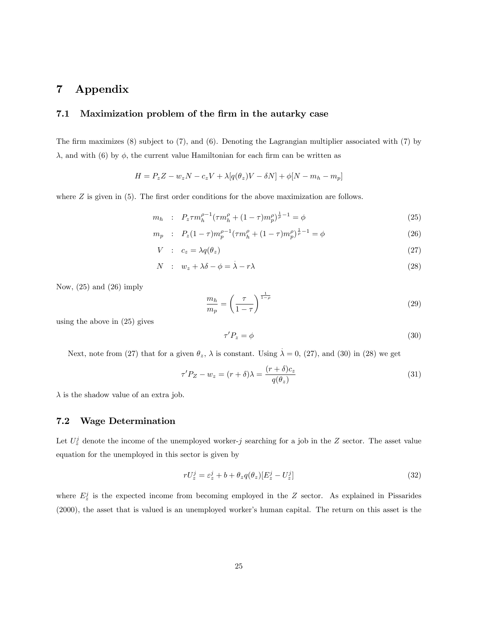# 7 Appendix

## 7.1 Maximization problem of the firm in the autarky case

The firm maximizes  $(8)$  subject to  $(7)$ , and  $(6)$ . Denoting the Lagrangian multiplier associated with  $(7)$  by  $\lambda$ , and with (6) by  $\phi$ , the current value Hamiltonian for each firm can be written as

$$
H = P_z Z - w_z N - c_z V + \lambda [q(\theta_z)V - \delta N] + \phi [N - m_h - m_p]
$$

where  $Z$  is given in (5). The first order conditions for the above maximization are follows.

$$
m_h : P_z \tau m_h^{\rho-1} (\tau m_h^{\rho} + (1 - \tau) m_p^{\rho})^{\frac{1}{\rho}-1} = \phi \tag{25}
$$

$$
m_p : P_z(1-\tau)m_p^{\rho-1}(\tau m_h^{\rho} + (1-\tau)m_p^{\rho})^{\frac{1}{\rho}-1} = \phi \tag{26}
$$

$$
V : c_z = \lambda q(\theta_z) \tag{27}
$$

$$
N : w_z + \lambda \delta - \phi = \lambda - r\lambda \tag{28}
$$

Now,  $(25)$  and  $(26)$  imply

$$
\frac{m_h}{m_p} = \left(\frac{\tau}{1-\tau}\right)^{\frac{1}{1-\rho}}
$$
\n(29)

using the above in (25) gives

$$
\tau' P_z = \phi \tag{30}
$$

Next, note from (27) that for a given  $\theta_z$ ,  $\lambda$  is constant. Using  $\dot{\lambda} = 0$ , (27), and (30) in (28) we get

$$
\tau' P_Z - w_z = (r + \delta)\lambda = \frac{(r + \delta)c_z}{q(\theta_z)}
$$
\n(31)

 $\lambda$  is the shadow value of an extra job.

## 7.2 Wage Determination

Let  $U_z^j$  denote the income of the unemployed worker-j searching for a job in the Z sector. The asset value equation for the unemployed in this sector is given by

$$
rU_z^j = \varepsilon_z^j + b + \theta_z q(\theta_z) [E_z^j - U_z^j]
$$
\n(32)

where  $E_z^j$  is the expected income from becoming employed in the Z sector. As explained in Pissarides (2000), the asset that is valued is an unemployed worker's human capital. The return on this asset is the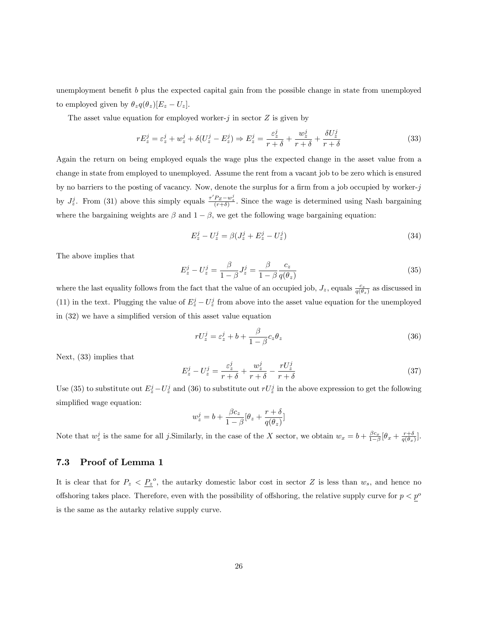unemployment benefit  $b$  plus the expected capital gain from the possible change in state from unemployed to employed given by  $\theta_z q(\theta_z)[E_z - U_z]$ .

The asset value equation for employed worker-j in sector  $Z$  is given by

$$
rE_z^j = \varepsilon_z^j + w_z^j + \delta(U_z^j - E_z^j) \Rightarrow E_z^j = \frac{\varepsilon_z^j}{r + \delta} + \frac{w_z^j}{r + \delta} + \frac{\delta U_z^j}{r + \delta}
$$
(33)

Again the return on being employed equals the wage plus the expected change in the asset value from a change in state from employed to unemployed. Assume the rent from a vacant job to be zero which is ensured by no barriers to the posting of vacancy. Now, denote the surplus for a firm from a job occupied by worker-j by  $J_z^j$ . From (31) above this simply equals  $\frac{\tau' P_z - w_z^j}{(r+\delta)}$ . Since the wage is determined using Nash bargaining where the bargaining weights are  $\beta$  and  $1 - \beta$ , we get the following wage bargaining equation:

$$
E_z^j - U_z^j = \beta (J_z^j + E_z^j - U_z^j) \tag{34}
$$

The above implies that

$$
E_z^j - U_z^j = \frac{\beta}{1 - \beta} J_z^j = \frac{\beta}{1 - \beta} \frac{c_z}{q(\theta_z)}
$$
(35)

where the last equality follows from the fact that the value of an occupied job,  $J_z$ , equals  $\frac{c_z}{q(\theta_z)}$  as discussed in (11) in the text. Plugging the value of  $E_z^j - U_z^j$  from above into the asset value equation for the unemployed in  $(32)$  we have a simplified version of this asset value equation

$$
rU_z^j = \varepsilon_z^j + b + \frac{\beta}{1 - \beta} c_z \theta_z \tag{36}
$$

Next, (33) implies that

$$
E_z^j - U_z^j = \frac{\varepsilon_z^j}{r + \delta} + \frac{w_z^j}{r + \delta} - \frac{rU_z^j}{r + \delta}
$$
\n(37)

Use (35) to substitute out  $E_z^j-U_z^j$  and (36) to substitute out  $rU_z^j$  in the above expression to get the following simplified wage equation:

$$
w_z^j = b + \frac{\beta c_z}{1 - \beta} [\theta_z + \frac{r + \delta}{q(\theta_z)}]
$$

Note that  $w_z^j$  is the same for all j.Similarly, in the case of the X sector, we obtain  $w_x = b + \frac{\beta c_x}{1-\beta} [\theta_x + \frac{r+\delta}{q(\theta_x)}]$ .

## 7.3 Proof of Lemma 1

It is clear that for  $P_z < P_z^o$ , the autarky domestic labor cost in sector Z is less than  $w_s$ , and hence no offshoring takes place. Therefore, even with the possibility of offshoring, the relative supply curve for  $p < p^o$ is the same as the autarky relative supply curve.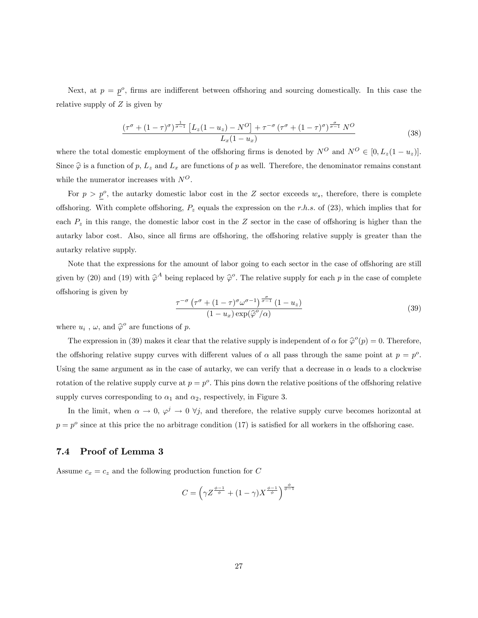Next, at  $p = p^o$ , firms are indifferent between offshoring and sourcing domestically. In this case the relative supply of  $Z$  is given by

$$
\frac{(\tau^{\sigma} + (1-\tau)^{\sigma})^{\frac{1}{\sigma-1}} \left[L_z(1-u_z) - N^O\right] + \tau^{-\sigma} \left(\tau^{\sigma} + (1-\tau)^{\sigma}\right)^{\frac{\sigma}{\sigma-1}} N^O}{L_x(1-u_x)}
$$
(38)

where the total domestic employment of the offshoring firms is denoted by  $N^O$  and  $N^O \in [0, L_z(1 - u_z)]$ . Since  $\hat{\varphi}$  is a function of p,  $L_z$  and  $L_x$  are functions of p as well. Therefore, the denominator remains constant while the numerator increases with  $N^O$ .

For  $p > p^o$ , the autarky domestic labor cost in the Z sector exceeds  $w_s$ , therefore, there is complete offshoring. With complete offshoring,  $P_z$  equals the expression on the r.h.s. of (23), which implies that for each  $P<sub>z</sub>$  in this range, the domestic labor cost in the Z sector in the case of offshoring is higher than the autarky labor cost. Also, since all firms are offshoring, the offshoring relative supply is greater than the autarky relative supply.

Note that the expressions for the amount of labor going to each sector in the case of offshoring are still given by (20) and (19) with  $\hat{\varphi}^A$  being replaced by  $\hat{\varphi}^o$ . The relative supply for each p in the case of complete o§shoring is given by

$$
\frac{\tau^{-\sigma} \left(\tau^{\sigma} + (1-\tau)^{\sigma} \omega^{\sigma-1}\right)^{\frac{\sigma}{\sigma-1}} (1-u_z)}{(1-u_x) \exp(\widehat{\varphi}^o/\alpha)}
$$
(39)

where  $u_i$ ,  $\omega$ , and  $\hat{\varphi}^o$  are functions of  $p$ .

The expression in (39) makes it clear that the relative supply is independent of  $\alpha$  for  $\hat{\varphi}^o(p) = 0$ . Therefore, the offshoring relative suppy curves with different values of  $\alpha$  all pass through the same point at  $p = p^o$ . Using the same argument as in the case of autarky, we can verify that a decrease in  $\alpha$  leads to a clockwise rotation of the relative supply curve at  $p = p^o$ . This pins down the relative positions of the offshoring relative supply curves corresponding to  $\alpha_1$  and  $\alpha_2$ , respectively, in Figure 3.

In the limit, when  $\alpha \to 0$ ,  $\varphi^j \to 0$   $\forall j$ , and therefore, the relative supply curve becomes horizontal at  $p = p^{\circ}$  since at this price the no arbitrage condition (17) is satisfied for all workers in the offshoring case.

## 7.4 Proof of Lemma 3

Assume  $c_x = c_z$  and the following production function for C

$$
C = \left(\gamma Z^{\frac{\phi-1}{\phi}} + (1-\gamma)X^{\frac{\phi-1}{\phi}}\right)^{\frac{\phi}{\phi-1}}
$$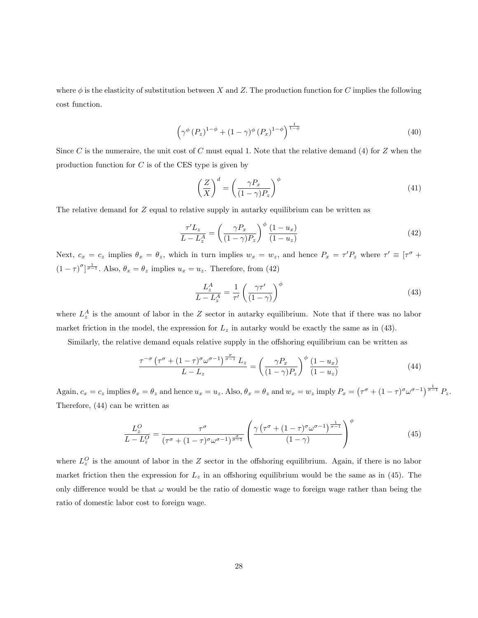where  $\phi$  is the elasticity of substitution between X and Z. The production function for C implies the following cost function.

$$
\left(\gamma^{\phi}\left(P_z\right)^{1-\phi}+(1-\gamma)^{\phi}\left(P_x\right)^{1-\phi}\right)^{\frac{1}{1-\phi}}
$$
\n
$$
\tag{40}
$$

Since C is the numeraire, the unit cost of C must equal 1. Note that the relative demand (4) for Z when the production function for  $C$  is of the CES type is given by

$$
\left(\frac{Z}{X}\right)^d = \left(\frac{\gamma P_x}{(1-\gamma)P_z}\right)^{\phi} \tag{41}
$$

The relative demand for  $Z$  equal to relative supply in autarky equilibrium can be written as

$$
\frac{\tau'L_z}{L - L_z^A} = \left(\frac{\gamma P_x}{(1 - \gamma)P_z}\right)^{\phi} \frac{(1 - u_x)}{(1 - u_z)}
$$
\n(42)

Next,  $c_x = c_z$  implies  $\theta_x = \theta_z$ , which in turn implies  $w_x = w_z$ , and hence  $P_x = \tau' P_z$  where  $\tau' \equiv [\tau^{\sigma} +$  $(1 - \tau)^{\sigma} \sqrt{\frac{1}{\sigma - 1}}$ . Also,  $\theta_x = \theta_z$  implies  $u_x = u_z$ . Therefore, from (42)

$$
\frac{L_z^A}{L - L_z^A} = \frac{1}{\tau'} \left( \frac{\gamma \tau'}{(1 - \gamma)} \right)^{\phi} \tag{43}
$$

where  $L_z^A$  is the amount of labor in the Z sector in autarky equilibrium. Note that if there was no labor market friction in the model, the expression for  $L_z$  in autarky would be exactly the same as in (43).

Similarly, the relative demand equals relative supply in the offshoring equilibrium can be written as

$$
\frac{\tau^{-\sigma} \left(\tau^{\sigma} + (1-\tau)^{\sigma} \omega^{\sigma-1}\right)^{\frac{\sigma}{\sigma-1}} L_z}{L - L_z} = \left(\frac{\gamma P_x}{(1-\gamma)P_z}\right)^{\phi} \frac{(1-u_x)}{(1-u_z)}
$$
(44)

Again,  $c_x = c_z$  implies  $\theta_x = \theta_z$  and hence  $u_x = u_z$ . Also,  $\theta_x = \theta_z$  and  $w_x = w_z$  imply  $P_x = (\tau^{\sigma} + (1 - \tau)^{\sigma} \omega^{\sigma - 1})^{\frac{1}{\sigma - 1}} P_z$ . Therefore, (44) can be written as

$$
\frac{L_z^O}{L - L_z^O} = \frac{\tau^\sigma}{(\tau^\sigma + (1 - \tau)^\sigma \omega^{\sigma - 1})^{\frac{\sigma}{\sigma - 1}}} \left( \frac{\gamma \left( \tau^\sigma + (1 - \tau)^\sigma \omega^{\sigma - 1} \right)^{\frac{1}{\sigma - 1}}}{(1 - \gamma)} \right)^\phi \tag{45}
$$

where  $L_z^O$  is the amount of labor in the Z sector in the offshoring equilibrium. Again, if there is no labor market friction then the expression for  $L_z$  in an offshoring equilibrium would be the same as in (45). The only difference would be that  $\omega$  would be the ratio of domestic wage to foreign wage rather than being the ratio of domestic labor cost to foreign wage.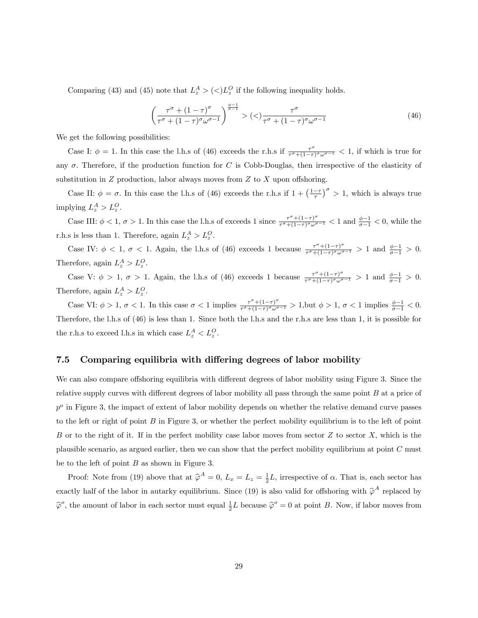Comparing (43) and (45) note that  $L_z^A > \langle \langle \rangle L_z^O$  if the following inequality holds.

$$
\left(\frac{\tau^{\sigma} + (1-\tau)^{\sigma}}{\tau^{\sigma} + (1-\tau)^{\sigma}\omega^{\sigma-1}}\right)^{\frac{\phi-1}{\sigma-1}} > \left(\langle\right) \frac{\tau^{\sigma}}{\tau^{\sigma} + (1-\tau)^{\sigma}\omega^{\sigma-1}}\tag{46}
$$

We get the following possibilities:

Case I:  $\phi = 1$ . In this case the l.h.s of (46) exceeds the r.h.s if  $\frac{\tau^{\sigma}}{\tau^{\sigma}+(1-\tau)^{\sigma}\omega^{\sigma-1}} < 1$ , if which is true for any  $\sigma$ . Therefore, if the production function for C is Cobb-Douglas, then irrespective of the elasticity of substitution in  $Z$  production, labor always moves from  $Z$  to  $X$  upon offshoring.

Case II:  $\phi = \sigma$ . In this case the l.h.s of (46) exceeds the r.h.s if  $1 + \left(\frac{1-\tau}{\tau}\right)^{\sigma} > 1$ , which is always true implying  $L_z^A > L_z^O$ .

Case III:  $\phi < 1$ ,  $\sigma > 1$ . In this case the l.h.s of exceeds 1 since  $\frac{\tau^{\sigma}+(1-\tau)^{\sigma}}{\tau^{\sigma}+(1-\tau)^{\sigma}\omega^{\sigma-1}} < 1$  and  $\frac{\phi-1}{\sigma-1} < 0$ , while the r.h.s is less than 1. Therefore, again  $L_z^A > L_z^O$ .

Case IV:  $\phi < 1$ ,  $\sigma < 1$ . Again, the l.h.s of (46) exceeds 1 because  $\frac{\tau^{\sigma}+(1-\tau)^{\sigma}}{\tau^{\sigma}+(1-\tau)^{\sigma}\omega^{\sigma-1}} > 1$  and  $\frac{\phi-1}{\sigma-1} > 0$ . Therefore, again  $L_z^A > L_z^O$ .

Case V:  $\phi > 1$ ,  $\sigma > 1$ . Again, the l.h.s of (46) exceeds 1 because  $\frac{\tau^{\sigma}+(1-\tau)^{\sigma}}{\tau^{\sigma}+(1-\tau)^{\sigma}\omega^{\sigma-1}} > 1$  and  $\frac{\phi-1}{\sigma-1} > 0$ . Therefore, again  $L_z^A > L_z^O$ .

Case VI:  $\phi > 1$ ,  $\sigma < 1$ . In this case  $\sigma < 1$  implies  $\frac{\tau^{\sigma} + (1-\tau)^{\sigma}}{\tau^{\sigma} + (1-\tau)^{\sigma} \omega^{\sigma-1}} > 1$ , but  $\phi > 1$ ,  $\sigma < 1$  implies  $\frac{\phi-1}{\sigma-1} < 0$ . Therefore, the l.h.s of (46) is less than 1. Since both the l.h.s and the r.h.s are less than 1, it is possible for the r.h.s to exceed l.h.s in which case  $L_z^A < L_z^O$ .

## 7.5 Comparing equilibria with differing degrees of labor mobility

We can also compare offshoring equilibria with different degrees of labor mobility using Figure 3. Since the relative supply curves with different degrees of labor mobility all pass through the same point  $B$  at a price of  $p<sup>o</sup>$  in Figure 3, the impact of extent of labor mobility depends on whether the relative demand curve passes to the left or right of point  $B$  in Figure 3, or whether the perfect mobility equilibrium is to the left of point B or to the right of it. If in the perfect mobility case labor moves from sector  $Z$  to sector  $X$ , which is the plausible scenario, as argued earlier, then we can show that the perfect mobility equilibrium at point C must be to the left of point  $B$  as shown in Figure 3.

Proof: Note from (19) above that at  $\hat{\varphi}^A = 0$ ,  $L_x = L_z = \frac{1}{2}L$ , irrespective of  $\alpha$ . That is, each sector has exactly half of the labor in autarky equilibrium. Since (19) is also valid for offshoring with  $\hat{\varphi}^A$  replaced by  $\hat{\varphi}^o$ , the amount of labor in each sector must equal  $\frac{1}{2}L$  because  $\hat{\varphi}^o = 0$  at point B. Now, if labor moves from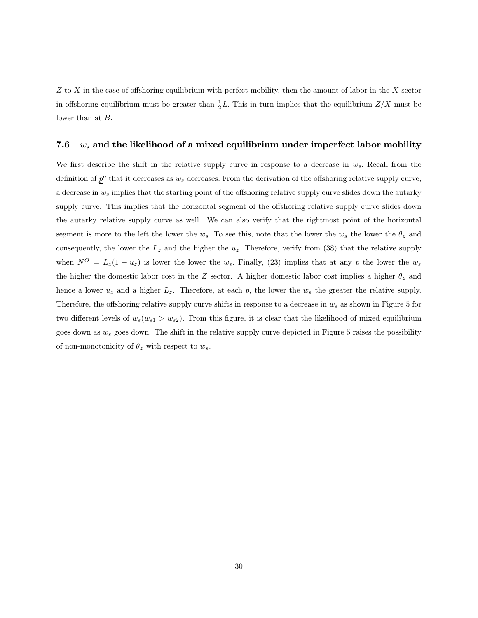$Z$  to  $X$  in the case of offshoring equilibrium with perfect mobility, then the amount of labor in the  $X$  sector in offshoring equilibrium must be greater than  $\frac{1}{2}L$ . This in turn implies that the equilibrium  $Z/X$  must be lower than at  $B$ .

## 7.6  $w_s$  and the likelihood of a mixed equilibrium under imperfect labor mobility

We first describe the shift in the relative supply curve in response to a decrease in  $w_s$ . Recall from the definition of  $p^o$  that it decreases as  $w_s$  decreases. From the derivation of the offshoring relative supply curve, a decrease in  $w_s$  implies that the starting point of the offshoring relative supply curve slides down the autarky supply curve. This implies that the horizontal segment of the offshoring relative supply curve slides down the autarky relative supply curve as well. We can also verify that the rightmost point of the horizontal segment is more to the left the lower the  $w_s$ . To see this, note that the lower the  $w_s$  the lower the  $\theta_z$  and consequently, the lower the  $L_z$  and the higher the  $u_z$ . Therefore, verify from (38) that the relative supply when  $N^{O} = L_{z}(1 - u_{z})$  is lower the lower the  $w_{s}$ . Finally, (23) implies that at any p the lower the  $w_{s}$ the higher the domestic labor cost in the Z sector. A higher domestic labor cost implies a higher  $\theta_z$  and hence a lower  $u_z$  and a higher  $L_z$ . Therefore, at each p, the lower the  $w_s$  the greater the relative supply. Therefore, the offshoring relative supply curve shifts in response to a decrease in  $w_s$  as shown in Figure 5 for two different levels of  $w_s(w_{s1} > w_{s2})$ . From this figure, it is clear that the likelihood of mixed equilibrium goes down as  $w_s$  goes down. The shift in the relative supply curve depicted in Figure 5 raises the possibility of non-monotonicity of  $\theta_z$  with respect to  $w_s$ .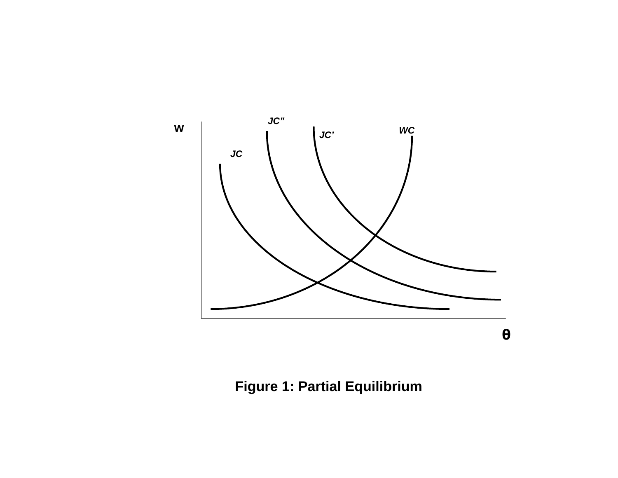

**Figure 1: Partial Equilibrium**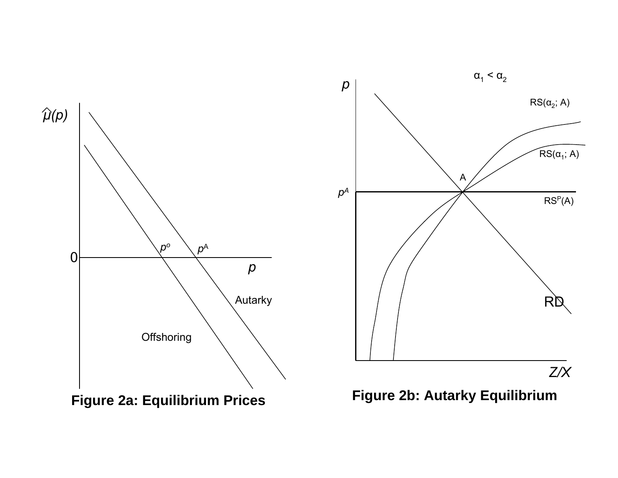



**Figure 2a: Equilibrium Prices Figure 2b: Autarky Equilibrium**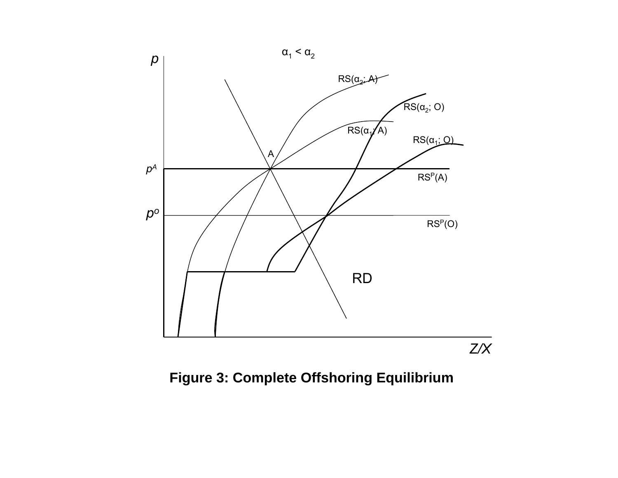

**Figure 3: Complete Offshoring Equilibrium**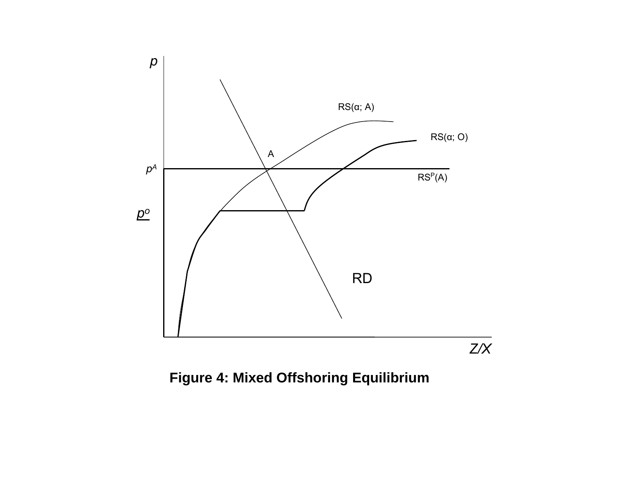

**Figure 4: Mixed Offshoring Equilibrium**